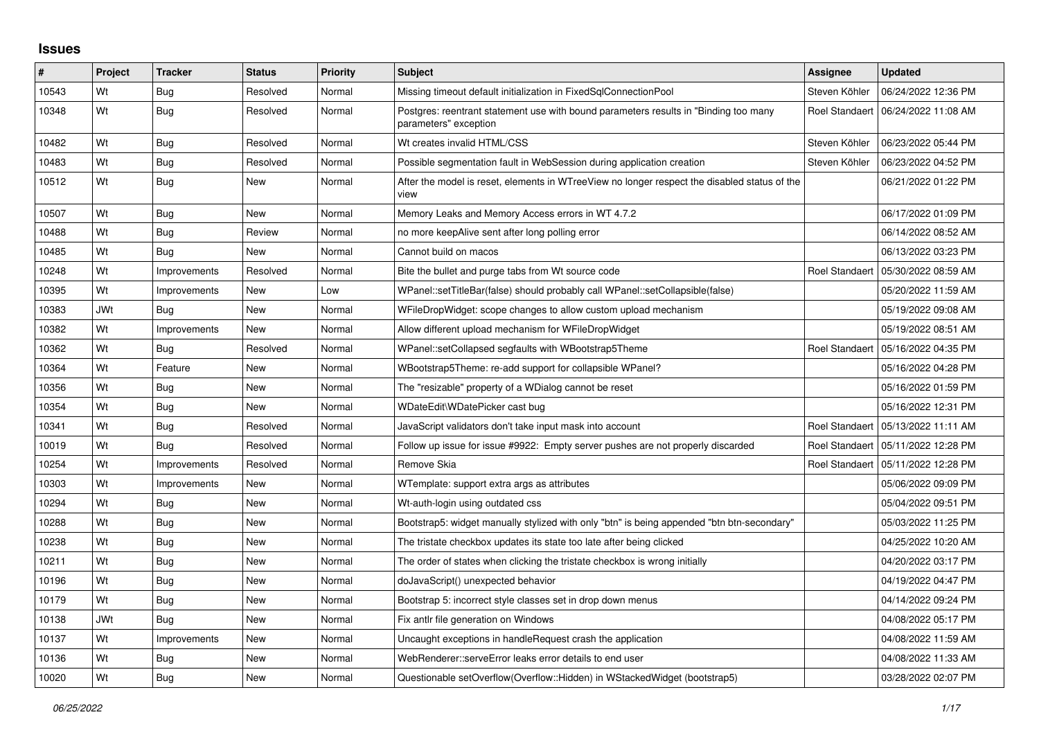## **Issues**

| #     | Project    | <b>Tracker</b> | <b>Status</b> | <b>Priority</b> | <b>Subject</b>                                                                                                | Assignee              | <b>Updated</b>                       |
|-------|------------|----------------|---------------|-----------------|---------------------------------------------------------------------------------------------------------------|-----------------------|--------------------------------------|
| 10543 | Wt         | Bug            | Resolved      | Normal          | Missing timeout default initialization in FixedSqlConnectionPool                                              | Steven Köhler         | 06/24/2022 12:36 PM                  |
| 10348 | Wt         | <b>Bug</b>     | Resolved      | Normal          | Postgres: reentrant statement use with bound parameters results in "Binding too many<br>parameters" exception |                       | Roel Standaert   06/24/2022 11:08 AM |
| 10482 | Wt         | <b>Bug</b>     | Resolved      | Normal          | Wt creates invalid HTML/CSS                                                                                   | Steven Köhler         | 06/23/2022 05:44 PM                  |
| 10483 | Wt         | <b>Bug</b>     | Resolved      | Normal          | Possible segmentation fault in WebSession during application creation                                         | Steven Köhler         | 06/23/2022 04:52 PM                  |
| 10512 | Wt         | <b>Bug</b>     | New           | Normal          | After the model is reset, elements in WTreeView no longer respect the disabled status of the<br>view          |                       | 06/21/2022 01:22 PM                  |
| 10507 | Wt         | Bug            | <b>New</b>    | Normal          | Memory Leaks and Memory Access errors in WT 4.7.2                                                             |                       | 06/17/2022 01:09 PM                  |
| 10488 | Wt         | <b>Bug</b>     | Review        | Normal          | no more keepAlive sent after long polling error                                                               |                       | 06/14/2022 08:52 AM                  |
| 10485 | Wt         | Bug            | New           | Normal          | Cannot build on macos                                                                                         |                       | 06/13/2022 03:23 PM                  |
| 10248 | Wt         | Improvements   | Resolved      | Normal          | Bite the bullet and purge tabs from Wt source code                                                            | Roel Standaert        | 05/30/2022 08:59 AM                  |
| 10395 | Wt         | Improvements   | <b>New</b>    | Low             | WPanel::setTitleBar(false) should probably call WPanel::setCollapsible(false)                                 |                       | 05/20/2022 11:59 AM                  |
| 10383 | <b>JWt</b> | Bug            | New           | Normal          | WFileDropWidget: scope changes to allow custom upload mechanism                                               |                       | 05/19/2022 09:08 AM                  |
| 10382 | Wt         | Improvements   | New           | Normal          | Allow different upload mechanism for WFileDropWidget                                                          |                       | 05/19/2022 08:51 AM                  |
| 10362 | Wt         | Bug            | Resolved      | Normal          | WPanel::setCollapsed segfaults with WBootstrap5Theme                                                          | <b>Roel Standaert</b> | 05/16/2022 04:35 PM                  |
| 10364 | Wt         | Feature        | New           | Normal          | WBootstrap5Theme: re-add support for collapsible WPanel?                                                      |                       | 05/16/2022 04:28 PM                  |
| 10356 | Wt         | Bug            | New           | Normal          | The "resizable" property of a WDialog cannot be reset                                                         |                       | 05/16/2022 01:59 PM                  |
| 10354 | Wt         | <b>Bug</b>     | New           | Normal          | WDateEdit\WDatePicker cast bug                                                                                |                       | 05/16/2022 12:31 PM                  |
| 10341 | Wt         | <b>Bug</b>     | Resolved      | Normal          | JavaScript validators don't take input mask into account                                                      | Roel Standaert        | 05/13/2022 11:11 AM                  |
| 10019 | Wt         | Bug            | Resolved      | Normal          | Follow up issue for issue #9922: Empty server pushes are not properly discarded                               |                       | Roel Standaert   05/11/2022 12:28 PM |
| 10254 | Wt         | Improvements   | Resolved      | Normal          | Remove Skia                                                                                                   |                       | Roel Standaert   05/11/2022 12:28 PM |
| 10303 | Wt         | Improvements   | <b>New</b>    | Normal          | WTemplate: support extra args as attributes                                                                   |                       | 05/06/2022 09:09 PM                  |
| 10294 | Wt         | Bug            | New           | Normal          | Wt-auth-login using outdated css                                                                              |                       | 05/04/2022 09:51 PM                  |
| 10288 | Wt         | <b>Bug</b>     | New           | Normal          | Bootstrap5: widget manually stylized with only "btn" is being appended "btn btn-secondary"                    |                       | 05/03/2022 11:25 PM                  |
| 10238 | Wt         | Bug            | <b>New</b>    | Normal          | The tristate checkbox updates its state too late after being clicked                                          |                       | 04/25/2022 10:20 AM                  |
| 10211 | Wt         | <b>Bug</b>     | New           | Normal          | The order of states when clicking the tristate checkbox is wrong initially                                    |                       | 04/20/2022 03:17 PM                  |
| 10196 | Wt         | Bug            | New           | Normal          | doJavaScript() unexpected behavior                                                                            |                       | 04/19/2022 04:47 PM                  |
| 10179 | Wt         | <b>Bug</b>     | <b>New</b>    | Normal          | Bootstrap 5: incorrect style classes set in drop down menus                                                   |                       | 04/14/2022 09:24 PM                  |
| 10138 | <b>JWt</b> | <b>Bug</b>     | <b>New</b>    | Normal          | Fix antlr file generation on Windows                                                                          |                       | 04/08/2022 05:17 PM                  |
| 10137 | Wt         | Improvements   | New           | Normal          | Uncaught exceptions in handleRequest crash the application                                                    |                       | 04/08/2022 11:59 AM                  |
| 10136 | Wt         | <b>Bug</b>     | New           | Normal          | WebRenderer::serveError leaks error details to end user                                                       |                       | 04/08/2022 11:33 AM                  |
| 10020 | Wt         | <b>Bug</b>     | <b>New</b>    | Normal          | Questionable setOverflow(Overflow::Hidden) in WStackedWidget (bootstrap5)                                     |                       | 03/28/2022 02:07 PM                  |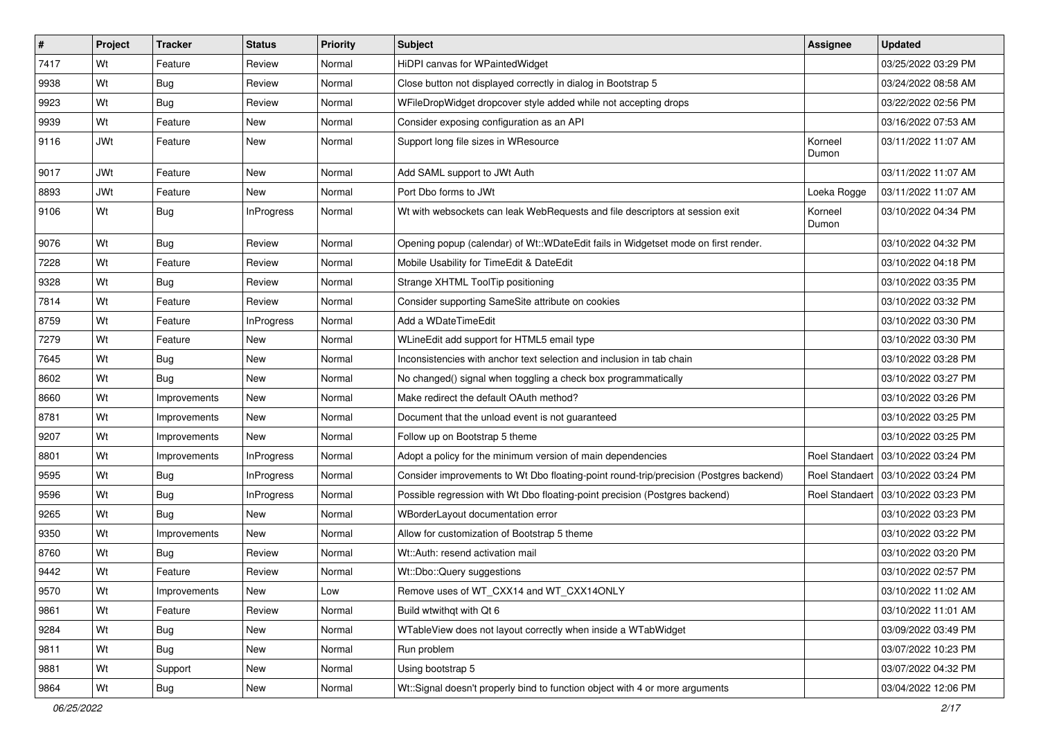| $\vert$ # | Project    | <b>Tracker</b> | <b>Status</b>     | Priority | <b>Subject</b>                                                                         | Assignee         | <b>Updated</b>                       |
|-----------|------------|----------------|-------------------|----------|----------------------------------------------------------------------------------------|------------------|--------------------------------------|
| 7417      | Wt         | Feature        | Review            | Normal   | HiDPI canvas for WPaintedWidget                                                        |                  | 03/25/2022 03:29 PM                  |
| 9938      | Wt         | Bug            | Review            | Normal   | Close button not displayed correctly in dialog in Bootstrap 5                          |                  | 03/24/2022 08:58 AM                  |
| 9923      | Wt         | Bug            | Review            | Normal   | WFileDropWidget dropcover style added while not accepting drops                        |                  | 03/22/2022 02:56 PM                  |
| 9939      | Wt         | Feature        | New               | Normal   | Consider exposing configuration as an API                                              |                  | 03/16/2022 07:53 AM                  |
| 9116      | <b>JWt</b> | Feature        | <b>New</b>        | Normal   | Support long file sizes in WResource                                                   | Korneel<br>Dumon | 03/11/2022 11:07 AM                  |
| 9017      | <b>JWt</b> | Feature        | <b>New</b>        | Normal   | Add SAML support to JWt Auth                                                           |                  | 03/11/2022 11:07 AM                  |
| 8893      | <b>JWt</b> | Feature        | <b>New</b>        | Normal   | Port Dbo forms to JWt                                                                  | Loeka Rogge      | 03/11/2022 11:07 AM                  |
| 9106      | Wt         | Bug            | <b>InProgress</b> | Normal   | Wt with websockets can leak WebRequests and file descriptors at session exit           | Korneel<br>Dumon | 03/10/2022 04:34 PM                  |
| 9076      | Wt         | <b>Bug</b>     | Review            | Normal   | Opening popup (calendar) of Wt::WDateEdit fails in Widgetset mode on first render.     |                  | 03/10/2022 04:32 PM                  |
| 7228      | Wt         | Feature        | Review            | Normal   | Mobile Usability for TimeEdit & DateEdit                                               |                  | 03/10/2022 04:18 PM                  |
| 9328      | Wt         | Bug            | Review            | Normal   | Strange XHTML ToolTip positioning                                                      |                  | 03/10/2022 03:35 PM                  |
| 7814      | Wt         | Feature        | Review            | Normal   | Consider supporting SameSite attribute on cookies                                      |                  | 03/10/2022 03:32 PM                  |
| 8759      | Wt         | Feature        | InProgress        | Normal   | Add a WDateTimeEdit                                                                    |                  | 03/10/2022 03:30 PM                  |
| 7279      | Wt         | Feature        | <b>New</b>        | Normal   | WLineEdit add support for HTML5 email type                                             |                  | 03/10/2022 03:30 PM                  |
| 7645      | Wt         | <b>Bug</b>     | New               | Normal   | Inconsistencies with anchor text selection and inclusion in tab chain                  |                  | 03/10/2022 03:28 PM                  |
| 8602      | Wt         | Bug            | <b>New</b>        | Normal   | No changed() signal when toggling a check box programmatically                         |                  | 03/10/2022 03:27 PM                  |
| 8660      | Wt         | Improvements   | New               | Normal   | Make redirect the default OAuth method?                                                |                  | 03/10/2022 03:26 PM                  |
| 8781      | Wt         | Improvements   | New               | Normal   | Document that the unload event is not guaranteed                                       |                  | 03/10/2022 03:25 PM                  |
| 9207      | Wt         | Improvements   | <b>New</b>        | Normal   | Follow up on Bootstrap 5 theme                                                         |                  | 03/10/2022 03:25 PM                  |
| 8801      | Wt         | Improvements   | <b>InProgress</b> | Normal   | Adopt a policy for the minimum version of main dependencies                            | Roel Standaert   | 03/10/2022 03:24 PM                  |
| 9595      | Wt         | <b>Bug</b>     | <b>InProgress</b> | Normal   | Consider improvements to Wt Dbo floating-point round-trip/precision (Postgres backend) |                  | Roel Standaert   03/10/2022 03:24 PM |
| 9596      | Wt         | Bug            | InProgress        | Normal   | Possible regression with Wt Dbo floating-point precision (Postgres backend)            | Roel Standaert   | 03/10/2022 03:23 PM                  |
| 9265      | Wt         | <b>Bug</b>     | <b>New</b>        | Normal   | WBorderLayout documentation error                                                      |                  | 03/10/2022 03:23 PM                  |
| 9350      | Wt         | Improvements   | New               | Normal   | Allow for customization of Bootstrap 5 theme                                           |                  | 03/10/2022 03:22 PM                  |
| 8760      | Wt         | <b>Bug</b>     | Review            | Normal   | Wt::Auth: resend activation mail                                                       |                  | 03/10/2022 03:20 PM                  |
| 9442      | Wt         | Feature        | Review            | Normal   | Wt::Dbo::Query suggestions                                                             |                  | 03/10/2022 02:57 PM                  |
| 9570      | Wt         | Improvements   | New               | Low      | Remove uses of WT_CXX14 and WT_CXX14ONLY                                               |                  | 03/10/2022 11:02 AM                  |
| 9861      | Wt         | Feature        | Review            | Normal   | Build wtwithqt with Qt 6                                                               |                  | 03/10/2022 11:01 AM                  |
| 9284      | Wt         | <b>Bug</b>     | New               | Normal   | WTableView does not layout correctly when inside a WTabWidget                          |                  | 03/09/2022 03:49 PM                  |
| 9811      | Wt         | Bug            | New               | Normal   | Run problem                                                                            |                  | 03/07/2022 10:23 PM                  |
| 9881      | Wt         | Support        | New               | Normal   | Using bootstrap 5                                                                      |                  | 03/07/2022 04:32 PM                  |
| 9864      | Wt         | <b>Bug</b>     | New               | Normal   | Wt::Signal doesn't properly bind to function object with 4 or more arguments           |                  | 03/04/2022 12:06 PM                  |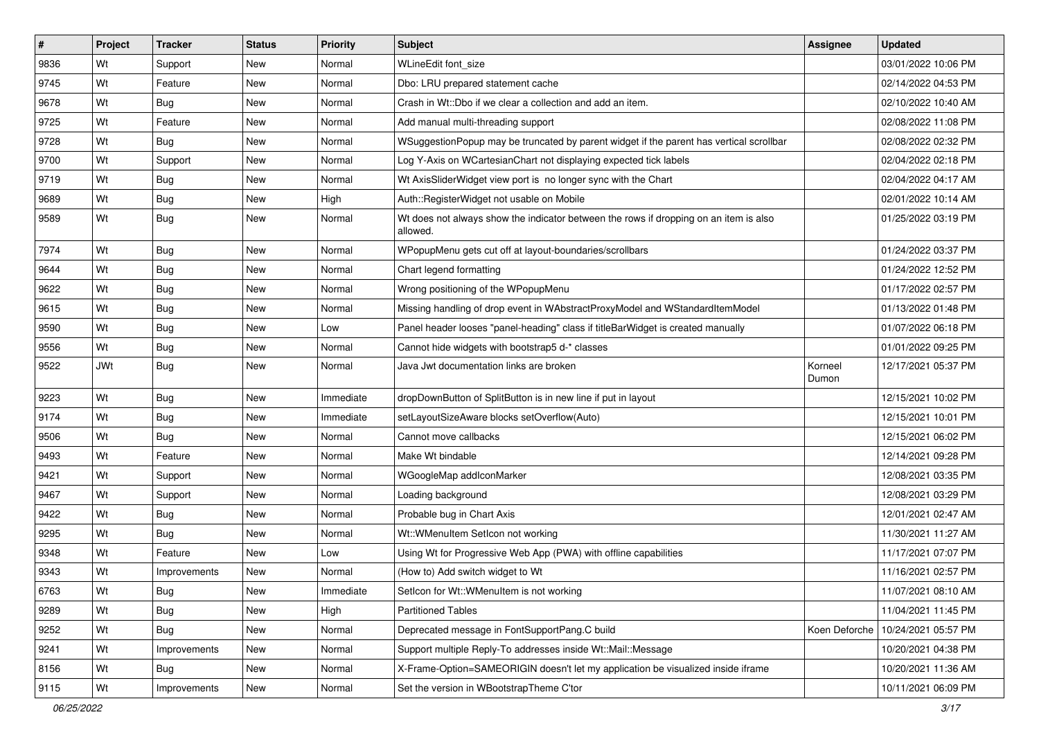| $\vert$ # | Project    | <b>Tracker</b> | <b>Status</b> | Priority  | <b>Subject</b>                                                                                    | Assignee         | <b>Updated</b>      |
|-----------|------------|----------------|---------------|-----------|---------------------------------------------------------------------------------------------------|------------------|---------------------|
| 9836      | Wt         | Support        | New           | Normal    | WLineEdit font_size                                                                               |                  | 03/01/2022 10:06 PM |
| 9745      | Wt         | Feature        | <b>New</b>    | Normal    | Dbo: LRU prepared statement cache                                                                 |                  | 02/14/2022 04:53 PM |
| 9678      | Wt         | Bug            | New           | Normal    | Crash in Wt::Dbo if we clear a collection and add an item.                                        |                  | 02/10/2022 10:40 AM |
| 9725      | Wt         | Feature        | New           | Normal    | Add manual multi-threading support                                                                |                  | 02/08/2022 11:08 PM |
| 9728      | Wt         | <b>Bug</b>     | <b>New</b>    | Normal    | WSuggestionPopup may be truncated by parent widget if the parent has vertical scrollbar           |                  | 02/08/2022 02:32 PM |
| 9700      | Wt         | Support        | New           | Normal    | Log Y-Axis on WCartesianChart not displaying expected tick labels                                 |                  | 02/04/2022 02:18 PM |
| 9719      | Wt         | Bug            | New           | Normal    | Wt AxisSliderWidget view port is no longer sync with the Chart                                    |                  | 02/04/2022 04:17 AM |
| 9689      | Wt         | Bug            | New           | High      | Auth::RegisterWidget not usable on Mobile                                                         |                  | 02/01/2022 10:14 AM |
| 9589      | Wt         | Bug            | <b>New</b>    | Normal    | Wt does not always show the indicator between the rows if dropping on an item is also<br>allowed. |                  | 01/25/2022 03:19 PM |
| 7974      | Wt         | Bug            | New           | Normal    | WPopupMenu gets cut off at layout-boundaries/scrollbars                                           |                  | 01/24/2022 03:37 PM |
| 9644      | Wt         | Bug            | New           | Normal    | Chart legend formatting                                                                           |                  | 01/24/2022 12:52 PM |
| 9622      | Wt         | <b>Bug</b>     | <b>New</b>    | Normal    | Wrong positioning of the WPopupMenu                                                               |                  | 01/17/2022 02:57 PM |
| 9615      | Wt         | Bug            | New           | Normal    | Missing handling of drop event in WAbstractProxyModel and WStandardItemModel                      |                  | 01/13/2022 01:48 PM |
| 9590      | Wt         | <b>Bug</b>     | New           | Low       | Panel header looses "panel-heading" class if titleBarWidget is created manually                   |                  | 01/07/2022 06:18 PM |
| 9556      | Wt         | <b>Bug</b>     | New           | Normal    | Cannot hide widgets with bootstrap5 d-* classes                                                   |                  | 01/01/2022 09:25 PM |
| 9522      | <b>JWt</b> | Bug            | New           | Normal    | Java Jwt documentation links are broken                                                           | Korneel<br>Dumon | 12/17/2021 05:37 PM |
| 9223      | Wt         | Bug            | New           | Immediate | dropDownButton of SplitButton is in new line if put in layout                                     |                  | 12/15/2021 10:02 PM |
| 9174      | Wt         | <b>Bug</b>     | New           | Immediate | setLayoutSizeAware blocks setOverflow(Auto)                                                       |                  | 12/15/2021 10:01 PM |
| 9506      | Wt         | <b>Bug</b>     | <b>New</b>    | Normal    | Cannot move callbacks                                                                             |                  | 12/15/2021 06:02 PM |
| 9493      | Wt         | Feature        | New           | Normal    | Make Wt bindable                                                                                  |                  | 12/14/2021 09:28 PM |
| 9421      | Wt         | Support        | New           | Normal    | WGoogleMap addlconMarker                                                                          |                  | 12/08/2021 03:35 PM |
| 9467      | Wt         | Support        | New           | Normal    | Loading background                                                                                |                  | 12/08/2021 03:29 PM |
| 9422      | Wt         | Bug            | New           | Normal    | Probable bug in Chart Axis                                                                        |                  | 12/01/2021 02:47 AM |
| 9295      | Wt         | Bug            | <b>New</b>    | Normal    | Wt::WMenuItem SetIcon not working                                                                 |                  | 11/30/2021 11:27 AM |
| 9348      | Wt         | Feature        | New           | Low       | Using Wt for Progressive Web App (PWA) with offline capabilities                                  |                  | 11/17/2021 07:07 PM |
| 9343      | Wt         | Improvements   | New           | Normal    | (How to) Add switch widget to Wt                                                                  |                  | 11/16/2021 02:57 PM |
| 6763      | Wt         | <b>Bug</b>     | New           | Immediate | Seticon for Wt::WMenuItem is not working                                                          |                  | 11/07/2021 08:10 AM |
| 9289      | Wt         | <b>Bug</b>     | New           | High      | <b>Partitioned Tables</b>                                                                         |                  | 11/04/2021 11:45 PM |
| 9252      | Wt         | <b>Bug</b>     | New           | Normal    | Deprecated message in FontSupportPang.C build                                                     | Koen Deforche    | 10/24/2021 05:57 PM |
| 9241      | Wt         | Improvements   | New           | Normal    | Support multiple Reply-To addresses inside Wt::Mail::Message                                      |                  | 10/20/2021 04:38 PM |
| 8156      | Wt         | Bug            | New           | Normal    | X-Frame-Option=SAMEORIGIN doesn't let my application be visualized inside iframe                  |                  | 10/20/2021 11:36 AM |
| 9115      | Wt         | Improvements   | New           | Normal    | Set the version in WBootstrapTheme C'tor                                                          |                  | 10/11/2021 06:09 PM |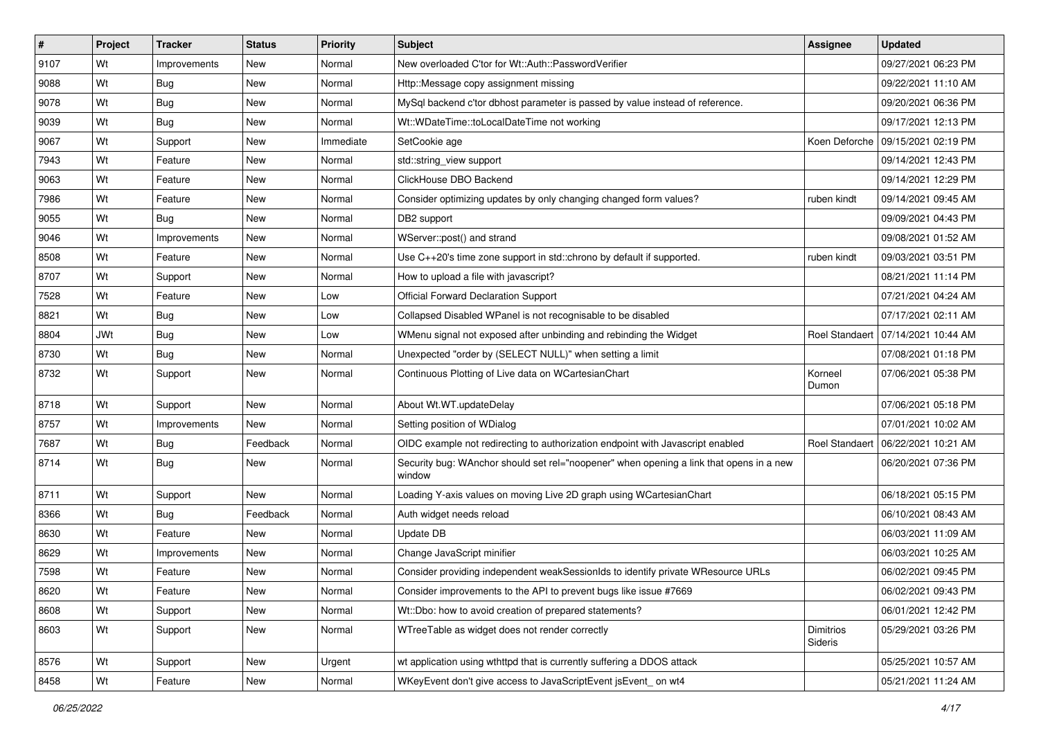| $\vert$ # | Project    | <b>Tracker</b> | <b>Status</b> | <b>Priority</b> | Subject                                                                                           | <b>Assignee</b>      | <b>Updated</b>                       |
|-----------|------------|----------------|---------------|-----------------|---------------------------------------------------------------------------------------------------|----------------------|--------------------------------------|
| 9107      | Wt         | Improvements   | New           | Normal          | New overloaded C'tor for Wt::Auth::PasswordVerifier                                               |                      | 09/27/2021 06:23 PM                  |
| 9088      | Wt         | <b>Bug</b>     | <b>New</b>    | Normal          | Http::Message copy assignment missing                                                             |                      | 09/22/2021 11:10 AM                  |
| 9078      | Wt         | <b>Bug</b>     | New           | Normal          | MySql backend c'tor dbhost parameter is passed by value instead of reference.                     |                      | 09/20/2021 06:36 PM                  |
| 9039      | Wt         | Bug            | New           | Normal          | Wt::WDateTime::toLocalDateTime not working                                                        |                      | 09/17/2021 12:13 PM                  |
| 9067      | Wt         | Support        | <b>New</b>    | Immediate       | SetCookie age                                                                                     |                      | Koen Deforche   09/15/2021 02:19 PM  |
| 7943      | Wt         | Feature        | New           | Normal          | std::string_view support                                                                          |                      | 09/14/2021 12:43 PM                  |
| 9063      | Wt         | Feature        | New           | Normal          | ClickHouse DBO Backend                                                                            |                      | 09/14/2021 12:29 PM                  |
| 7986      | Wt         | Feature        | New           | Normal          | Consider optimizing updates by only changing changed form values?                                 | ruben kindt          | 09/14/2021 09:45 AM                  |
| 9055      | Wt         | <b>Bug</b>     | New           | Normal          | DB2 support                                                                                       |                      | 09/09/2021 04:43 PM                  |
| 9046      | Wt         | Improvements   | New           | Normal          | WServer::post() and strand                                                                        |                      | 09/08/2021 01:52 AM                  |
| 8508      | Wt         | Feature        | New           | Normal          | Use C++20's time zone support in std::chrono by default if supported.                             | ruben kindt          | 09/03/2021 03:51 PM                  |
| 8707      | Wt         | Support        | New           | Normal          | How to upload a file with javascript?                                                             |                      | 08/21/2021 11:14 PM                  |
| 7528      | Wt         | Feature        | New           | Low             | <b>Official Forward Declaration Support</b>                                                       |                      | 07/21/2021 04:24 AM                  |
| 8821      | Wt         | Bug            | New           | Low             | Collapsed Disabled WPanel is not recognisable to be disabled                                      |                      | 07/17/2021 02:11 AM                  |
| 8804      | <b>JWt</b> | Bug            | New           | Low             | WMenu signal not exposed after unbinding and rebinding the Widget                                 |                      | Roel Standaert 07/14/2021 10:44 AM   |
| 8730      | Wt         | Bug            | New           | Normal          | Unexpected "order by (SELECT NULL)" when setting a limit                                          |                      | 07/08/2021 01:18 PM                  |
| 8732      | Wt         | Support        | New           | Normal          | Continuous Plotting of Live data on WCartesianChart                                               | Korneel<br>Dumon     | 07/06/2021 05:38 PM                  |
| 8718      | Wt         | Support        | New           | Normal          | About Wt.WT.updateDelay                                                                           |                      | 07/06/2021 05:18 PM                  |
| 8757      | Wt         | Improvements   | New           | Normal          | Setting position of WDialog                                                                       |                      | 07/01/2021 10:02 AM                  |
| 7687      | Wt         | <b>Bug</b>     | Feedback      | Normal          | OIDC example not redirecting to authorization endpoint with Javascript enabled                    |                      | Roel Standaert   06/22/2021 10:21 AM |
| 8714      | Wt         | Bug            | New           | Normal          | Security bug: WAnchor should set rel="noopener" when opening a link that opens in a new<br>window |                      | 06/20/2021 07:36 PM                  |
| 8711      | Wt         | Support        | New           | Normal          | Loading Y-axis values on moving Live 2D graph using WCartesianChart                               |                      | 06/18/2021 05:15 PM                  |
| 8366      | Wt         | Bug            | Feedback      | Normal          | Auth widget needs reload                                                                          |                      | 06/10/2021 08:43 AM                  |
| 8630      | Wt         | Feature        | <b>New</b>    | Normal          | Update DB                                                                                         |                      | 06/03/2021 11:09 AM                  |
| 8629      | Wt         | Improvements   | New           | Normal          | Change JavaScript minifier                                                                        |                      | 06/03/2021 10:25 AM                  |
| 7598      | Wt         | Feature        | New           | Normal          | Consider providing independent weakSessionIds to identify private WResource URLs                  |                      | 06/02/2021 09:45 PM                  |
| 8620      | Wt         | Feature        | New           | Normal          | Consider improvements to the API to prevent bugs like issue #7669                                 |                      | 06/02/2021 09:43 PM                  |
| 8608      | Wt         | Support        | New           | Normal          | Wt::Dbo: how to avoid creation of prepared statements?                                            |                      | 06/01/2021 12:42 PM                  |
| 8603      | Wt         | Support        | New           | Normal          | WTreeTable as widget does not render correctly                                                    | Dimitrios<br>Sideris | 05/29/2021 03:26 PM                  |
| 8576      | Wt         | Support        | New           | Urgent          | wt application using wthttpd that is currently suffering a DDOS attack                            |                      | 05/25/2021 10:57 AM                  |
| 8458      | Wt         | Feature        | New           | Normal          | WKeyEvent don't give access to JavaScriptEvent jsEvent_on wt4                                     |                      | 05/21/2021 11:24 AM                  |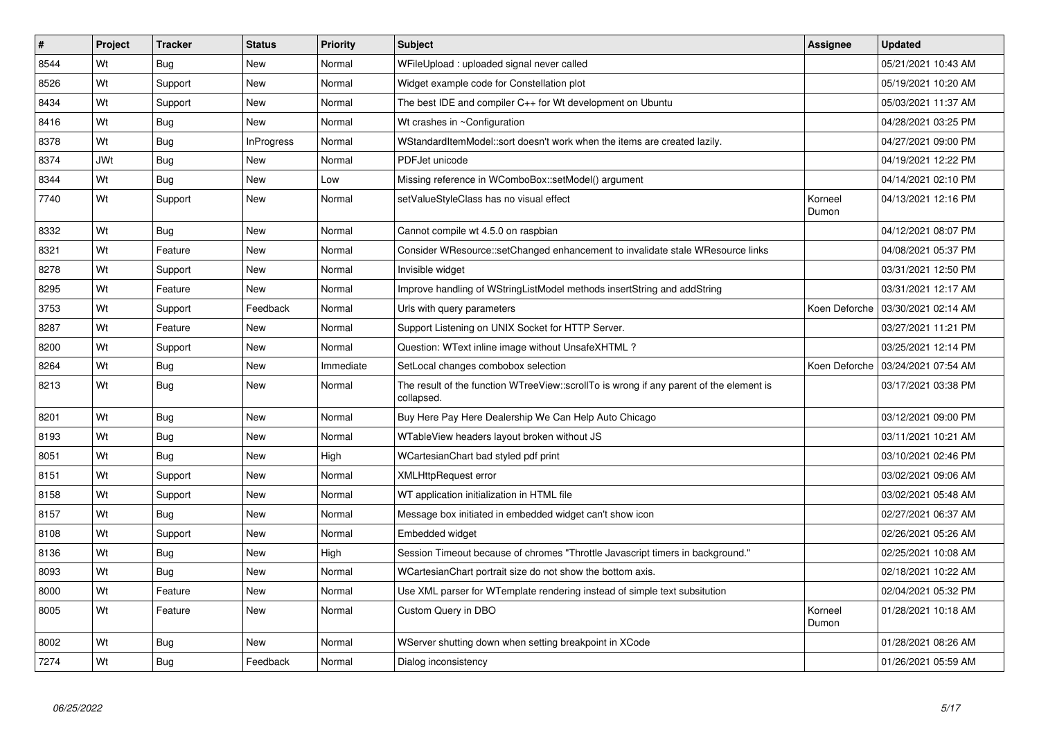| #    | <b>Project</b> | <b>Tracker</b> | <b>Status</b>     | Priority  | <b>Subject</b>                                                                                        | Assignee         | <b>Updated</b>      |
|------|----------------|----------------|-------------------|-----------|-------------------------------------------------------------------------------------------------------|------------------|---------------------|
| 8544 | Wt             | <b>Bug</b>     | <b>New</b>        | Normal    | WFileUpload : uploaded signal never called                                                            |                  | 05/21/2021 10:43 AM |
| 8526 | Wt             | Support        | <b>New</b>        | Normal    | Widget example code for Constellation plot                                                            |                  | 05/19/2021 10:20 AM |
| 8434 | Wt             | Support        | New               | Normal    | The best IDE and compiler C++ for Wt development on Ubuntu                                            |                  | 05/03/2021 11:37 AM |
| 8416 | Wt             | <b>Bug</b>     | <b>New</b>        | Normal    | Wt crashes in ~Configuration                                                                          |                  | 04/28/2021 03:25 PM |
| 8378 | Wt             | <b>Bug</b>     | <b>InProgress</b> | Normal    | WStandardItemModel::sort doesn't work when the items are created lazily.                              |                  | 04/27/2021 09:00 PM |
| 8374 | <b>JWt</b>     | Bug            | New               | Normal    | PDFJet unicode                                                                                        |                  | 04/19/2021 12:22 PM |
| 8344 | Wt             | <b>Bug</b>     | New               | Low       | Missing reference in WComboBox::setModel() argument                                                   |                  | 04/14/2021 02:10 PM |
| 7740 | Wt             | Support        | New               | Normal    | setValueStyleClass has no visual effect                                                               | Korneel<br>Dumon | 04/13/2021 12:16 PM |
| 8332 | Wt             | Bug            | <b>New</b>        | Normal    | Cannot compile wt 4.5.0 on raspbian                                                                   |                  | 04/12/2021 08:07 PM |
| 8321 | Wt             | Feature        | New               | Normal    | Consider WResource::setChanged enhancement to invalidate stale WResource links                        |                  | 04/08/2021 05:37 PM |
| 8278 | Wt             | Support        | <b>New</b>        | Normal    | Invisible widget                                                                                      |                  | 03/31/2021 12:50 PM |
| 8295 | Wt             | Feature        | New               | Normal    | Improve handling of WStringListModel methods insertString and addString                               |                  | 03/31/2021 12:17 AM |
| 3753 | Wt             | Support        | Feedback          | Normal    | Urls with query parameters                                                                            | Koen Deforche    | 03/30/2021 02:14 AM |
| 8287 | Wt             | Feature        | <b>New</b>        | Normal    | Support Listening on UNIX Socket for HTTP Server.                                                     |                  | 03/27/2021 11:21 PM |
| 8200 | Wt             | Support        | New               | Normal    | Question: WText inline image without UnsafeXHTML?                                                     |                  | 03/25/2021 12:14 PM |
| 8264 | Wt             | <b>Bug</b>     | <b>New</b>        | Immediate | SetLocal changes combobox selection                                                                   | Koen Deforche    | 03/24/2021 07:54 AM |
| 8213 | Wt             | Bug            | New               | Normal    | The result of the function WTreeView::scrollTo is wrong if any parent of the element is<br>collapsed. |                  | 03/17/2021 03:38 PM |
| 8201 | Wt             | <b>Bug</b>     | <b>New</b>        | Normal    | Buy Here Pay Here Dealership We Can Help Auto Chicago                                                 |                  | 03/12/2021 09:00 PM |
| 8193 | Wt             | Bug            | New               | Normal    | WTableView headers layout broken without JS                                                           |                  | 03/11/2021 10:21 AM |
| 8051 | Wt             | Bug            | <b>New</b>        | High      | WCartesianChart bad styled pdf print                                                                  |                  | 03/10/2021 02:46 PM |
| 8151 | Wt             | Support        | New               | Normal    | <b>XMLHttpRequest error</b>                                                                           |                  | 03/02/2021 09:06 AM |
| 8158 | Wt             | Support        | New               | Normal    | WT application initialization in HTML file                                                            |                  | 03/02/2021 05:48 AM |
| 8157 | Wt             | Bug            | New               | Normal    | Message box initiated in embedded widget can't show icon                                              |                  | 02/27/2021 06:37 AM |
| 8108 | Wt             | Support        | New               | Normal    | Embedded widget                                                                                       |                  | 02/26/2021 05:26 AM |
| 8136 | Wt             | <b>Bug</b>     | New               | High      | Session Timeout because of chromes "Throttle Javascript timers in background."                        |                  | 02/25/2021 10:08 AM |
| 8093 | Wt             | Bug            | New               | Normal    | WCartesianChart portrait size do not show the bottom axis.                                            |                  | 02/18/2021 10:22 AM |
| 8000 | Wt             | Feature        | New               | Normal    | Use XML parser for WTemplate rendering instead of simple text subsitution                             |                  | 02/04/2021 05:32 PM |
| 8005 | Wt             | Feature        | <b>New</b>        | Normal    | Custom Query in DBO                                                                                   | Korneel<br>Dumon | 01/28/2021 10:18 AM |
| 8002 | Wt             | <b>Bug</b>     | New               | Normal    | WServer shutting down when setting breakpoint in XCode                                                |                  | 01/28/2021 08:26 AM |
| 7274 | Wt             | Bug            | Feedback          | Normal    | Dialog inconsistency                                                                                  |                  | 01/26/2021 05:59 AM |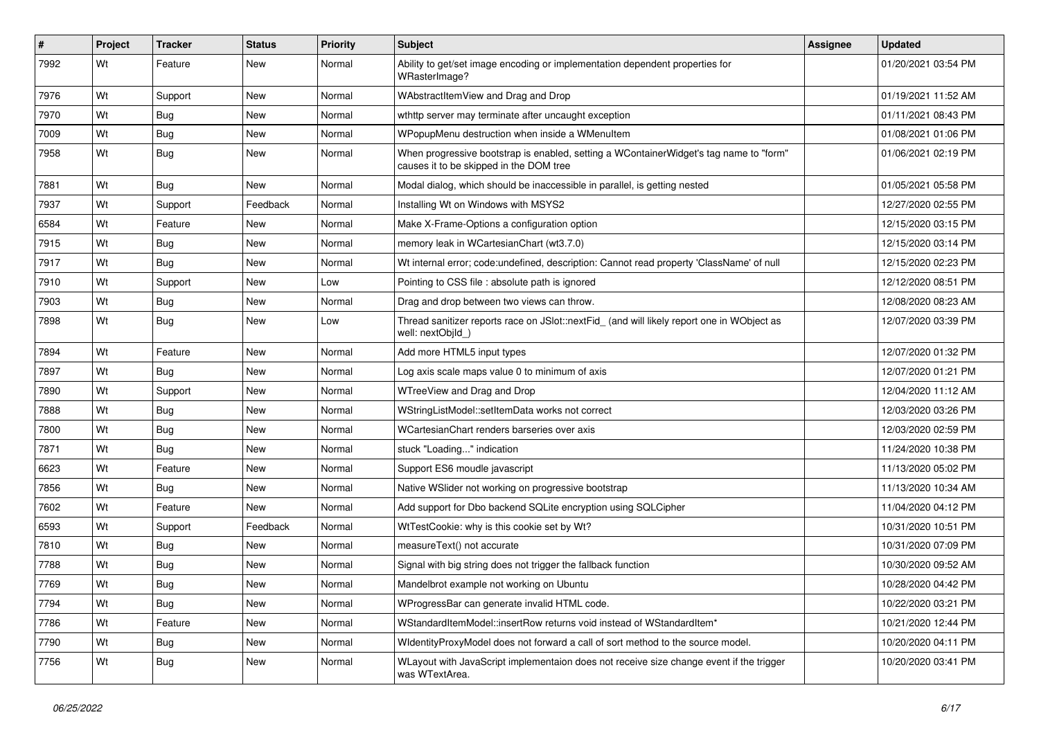| ∦    | Project | <b>Tracker</b> | <b>Status</b> | Priority | Subject                                                                                                                           | <b>Assignee</b> | <b>Updated</b>      |
|------|---------|----------------|---------------|----------|-----------------------------------------------------------------------------------------------------------------------------------|-----------------|---------------------|
| 7992 | Wt      | Feature        | New           | Normal   | Ability to get/set image encoding or implementation dependent properties for<br>WRasterImage?                                     |                 | 01/20/2021 03:54 PM |
| 7976 | Wt      | Support        | New           | Normal   | WAbstractItemView and Drag and Drop                                                                                               |                 | 01/19/2021 11:52 AM |
| 7970 | Wt      | <b>Bug</b>     | New           | Normal   | wthttp server may terminate after uncaught exception                                                                              |                 | 01/11/2021 08:43 PM |
| 7009 | Wt      | Bug            | New           | Normal   | WPopupMenu destruction when inside a WMenuItem                                                                                    |                 | 01/08/2021 01:06 PM |
| 7958 | Wt      | Bug            | New           | Normal   | When progressive bootstrap is enabled, setting a WContainerWidget's tag name to "form"<br>causes it to be skipped in the DOM tree |                 | 01/06/2021 02:19 PM |
| 7881 | Wt      | <b>Bug</b>     | <b>New</b>    | Normal   | Modal dialog, which should be inaccessible in parallel, is getting nested                                                         |                 | 01/05/2021 05:58 PM |
| 7937 | Wt      | Support        | Feedback      | Normal   | Installing Wt on Windows with MSYS2                                                                                               |                 | 12/27/2020 02:55 PM |
| 6584 | Wt      | Feature        | New           | Normal   | Make X-Frame-Options a configuration option                                                                                       |                 | 12/15/2020 03:15 PM |
| 7915 | Wt      | Bug            | New           | Normal   | memory leak in WCartesianChart (wt3.7.0)                                                                                          |                 | 12/15/2020 03:14 PM |
| 7917 | Wt      | Bug            | New           | Normal   | Wt internal error; code:undefined, description: Cannot read property 'ClassName' of null                                          |                 | 12/15/2020 02:23 PM |
| 7910 | Wt      | Support        | <b>New</b>    | Low      | Pointing to CSS file : absolute path is ignored                                                                                   |                 | 12/12/2020 08:51 PM |
| 7903 | Wt      | Bug            | New           | Normal   | Drag and drop between two views can throw.                                                                                        |                 | 12/08/2020 08:23 AM |
| 7898 | Wt      | Bug            | New           | Low      | Thread sanitizer reports race on JSlot::nextFid_ (and will likely report one in WObject as<br>well: nextObild )                   |                 | 12/07/2020 03:39 PM |
| 7894 | Wt      | Feature        | <b>New</b>    | Normal   | Add more HTML5 input types                                                                                                        |                 | 12/07/2020 01:32 PM |
| 7897 | Wt      | Bug            | New           | Normal   | Log axis scale maps value 0 to minimum of axis                                                                                    |                 | 12/07/2020 01:21 PM |
| 7890 | Wt      | Support        | New           | Normal   | WTreeView and Drag and Drop                                                                                                       |                 | 12/04/2020 11:12 AM |
| 7888 | Wt      | Bug            | New           | Normal   | WStringListModel::setItemData works not correct                                                                                   |                 | 12/03/2020 03:26 PM |
| 7800 | Wt      | Bug            | <b>New</b>    | Normal   | WCartesianChart renders barseries over axis                                                                                       |                 | 12/03/2020 02:59 PM |
| 7871 | Wt      | <b>Bug</b>     | New           | Normal   | stuck "Loading" indication                                                                                                        |                 | 11/24/2020 10:38 PM |
| 6623 | Wt      | Feature        | New           | Normal   | Support ES6 moudle javascript                                                                                                     |                 | 11/13/2020 05:02 PM |
| 7856 | Wt      | <b>Bug</b>     | New           | Normal   | Native WSIider not working on progressive bootstrap                                                                               |                 | 11/13/2020 10:34 AM |
| 7602 | Wt      | Feature        | New           | Normal   | Add support for Dbo backend SQLite encryption using SQLCipher                                                                     |                 | 11/04/2020 04:12 PM |
| 6593 | Wt      | Support        | Feedback      | Normal   | WtTestCookie: why is this cookie set by Wt?                                                                                       |                 | 10/31/2020 10:51 PM |
| 7810 | Wt      | Bug            | New           | Normal   | measureText() not accurate                                                                                                        |                 | 10/31/2020 07:09 PM |
| 7788 | Wt      | Bug            | New           | Normal   | Signal with big string does not trigger the fallback function                                                                     |                 | 10/30/2020 09:52 AM |
| 7769 | Wt      | Bug            | New           | Normal   | Mandelbrot example not working on Ubuntu                                                                                          |                 | 10/28/2020 04:42 PM |
| 7794 | Wt      | Bug            | New           | Normal   | WProgressBar can generate invalid HTML code.                                                                                      |                 | 10/22/2020 03:21 PM |
| 7786 | Wt      | Feature        | New           | Normal   | WStandardItemModel::insertRow returns void instead of WStandardItem*                                                              |                 | 10/21/2020 12:44 PM |
| 7790 | Wt      | Bug            | New           | Normal   | WidentityProxyModel does not forward a call of sort method to the source model.                                                   |                 | 10/20/2020 04:11 PM |
| 7756 | Wt      | <b>Bug</b>     | New           | Normal   | WLayout with JavaScript implementaion does not receive size change event if the trigger<br>was WTextArea.                         |                 | 10/20/2020 03:41 PM |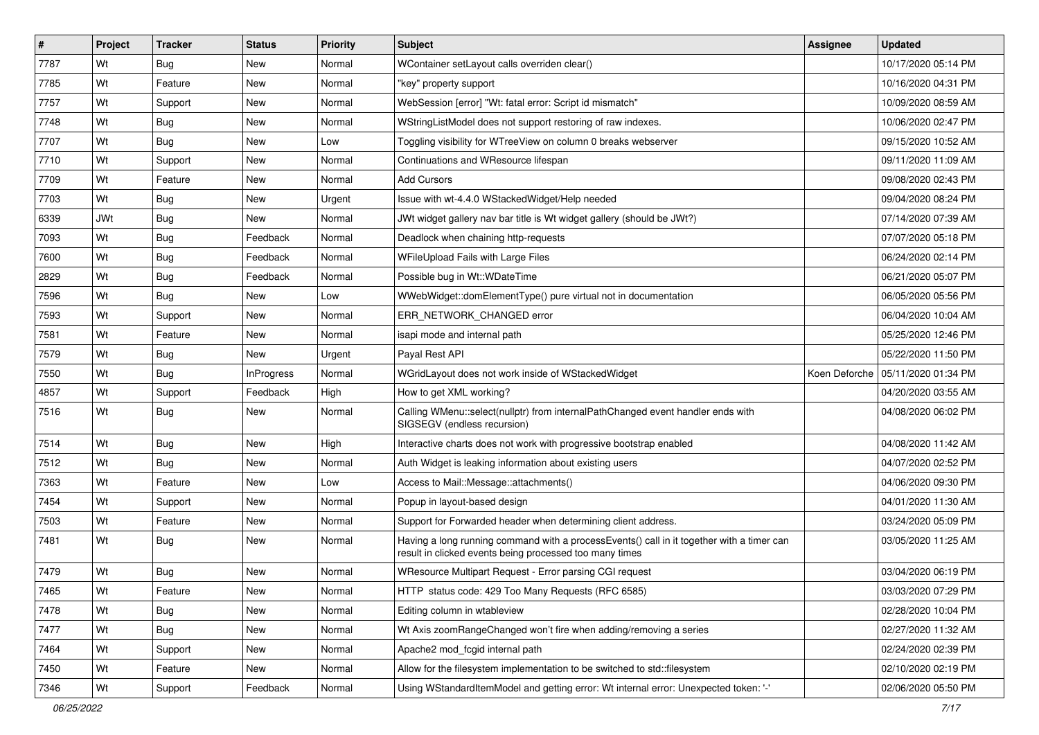| #    | Project    | <b>Tracker</b> | <b>Status</b>     | <b>Priority</b> | <b>Subject</b>                                                                                                                                       | <b>Assignee</b> | <b>Updated</b>                      |
|------|------------|----------------|-------------------|-----------------|------------------------------------------------------------------------------------------------------------------------------------------------------|-----------------|-------------------------------------|
| 7787 | Wt         | Bug            | New               | Normal          | WContainer setLayout calls overriden clear()                                                                                                         |                 | 10/17/2020 05:14 PM                 |
| 7785 | Wt         | Feature        | New               | Normal          | "key" property support                                                                                                                               |                 | 10/16/2020 04:31 PM                 |
| 7757 | Wt         | Support        | New               | Normal          | WebSession [error] "Wt: fatal error: Script id mismatch"                                                                                             |                 | 10/09/2020 08:59 AM                 |
| 7748 | Wt         | Bug            | <b>New</b>        | Normal          | WStringListModel does not support restoring of raw indexes.                                                                                          |                 | 10/06/2020 02:47 PM                 |
| 7707 | Wt         | <b>Bug</b>     | New               | Low             | Toggling visibility for WTreeView on column 0 breaks webserver                                                                                       |                 | 09/15/2020 10:52 AM                 |
| 7710 | Wt         | Support        | New               | Normal          | Continuations and WResource lifespan                                                                                                                 |                 | 09/11/2020 11:09 AM                 |
| 7709 | Wt         | Feature        | New               | Normal          | <b>Add Cursors</b>                                                                                                                                   |                 | 09/08/2020 02:43 PM                 |
| 7703 | Wt         | Bug            | New               | Urgent          | Issue with wt-4.4.0 WStackedWidget/Help needed                                                                                                       |                 | 09/04/2020 08:24 PM                 |
| 6339 | <b>JWt</b> | Bug            | New               | Normal          | JWt widget gallery nav bar title is Wt widget gallery (should be JWt?)                                                                               |                 | 07/14/2020 07:39 AM                 |
| 7093 | Wt         | <b>Bug</b>     | Feedback          | Normal          | Deadlock when chaining http-requests                                                                                                                 |                 | 07/07/2020 05:18 PM                 |
| 7600 | Wt         | Bug            | Feedback          | Normal          | WFileUpload Fails with Large Files                                                                                                                   |                 | 06/24/2020 02:14 PM                 |
| 2829 | Wt         | Bug            | Feedback          | Normal          | Possible bug in Wt::WDateTime                                                                                                                        |                 | 06/21/2020 05:07 PM                 |
| 7596 | Wt         | <b>Bug</b>     | <b>New</b>        | Low             | WWebWidget::domElementType() pure virtual not in documentation                                                                                       |                 | 06/05/2020 05:56 PM                 |
| 7593 | Wt         | Support        | New               | Normal          | ERR NETWORK CHANGED error                                                                                                                            |                 | 06/04/2020 10:04 AM                 |
| 7581 | Wt         | Feature        | <b>New</b>        | Normal          | isapi mode and internal path                                                                                                                         |                 | 05/25/2020 12:46 PM                 |
| 7579 | Wt         | Bug            | New               | Urgent          | Payal Rest API                                                                                                                                       |                 | 05/22/2020 11:50 PM                 |
| 7550 | Wt         | Bug            | <b>InProgress</b> | Normal          | WGridLayout does not work inside of WStackedWidget                                                                                                   |                 | Koen Deforche   05/11/2020 01:34 PM |
| 4857 | Wt         | Support        | Feedback          | High            | How to get XML working?                                                                                                                              |                 | 04/20/2020 03:55 AM                 |
| 7516 | Wt         | Bug            | New               | Normal          | Calling WMenu::select(nullptr) from internalPathChanged event handler ends with<br>SIGSEGV (endless recursion)                                       |                 | 04/08/2020 06:02 PM                 |
| 7514 | Wt         | <b>Bug</b>     | <b>New</b>        | High            | Interactive charts does not work with progressive bootstrap enabled                                                                                  |                 | 04/08/2020 11:42 AM                 |
| 7512 | Wt         | <b>Bug</b>     | New               | Normal          | Auth Widget is leaking information about existing users                                                                                              |                 | 04/07/2020 02:52 PM                 |
| 7363 | Wt         | Feature        | New               | Low             | Access to Mail::Message::attachments()                                                                                                               |                 | 04/06/2020 09:30 PM                 |
| 7454 | Wt         | Support        | New               | Normal          | Popup in layout-based design                                                                                                                         |                 | 04/01/2020 11:30 AM                 |
| 7503 | Wt         | Feature        | New               | Normal          | Support for Forwarded header when determining client address.                                                                                        |                 | 03/24/2020 05:09 PM                 |
| 7481 | Wt         | Bug            | New               | Normal          | Having a long running command with a processEvents() call in it together with a timer can<br>result in clicked events being processed too many times |                 | 03/05/2020 11:25 AM                 |
| 7479 | Wt         | Bug            | <b>New</b>        | Normal          | WResource Multipart Request - Error parsing CGI request                                                                                              |                 | 03/04/2020 06:19 PM                 |
| 7465 | Wt         | Feature        | New               | Normal          | HTTP status code: 429 Too Many Requests (RFC 6585)                                                                                                   |                 | 03/03/2020 07:29 PM                 |
| 7478 | Wt         | <b>Bug</b>     | New               | Normal          | Editing column in wtableview                                                                                                                         |                 | 02/28/2020 10:04 PM                 |
| 7477 | Wt         | <b>Bug</b>     | <b>New</b>        | Normal          | Wt Axis zoomRangeChanged won't fire when adding/removing a series                                                                                    |                 | 02/27/2020 11:32 AM                 |
| 7464 | Wt         | Support        | New               | Normal          | Apache2 mod_fcgid internal path                                                                                                                      |                 | 02/24/2020 02:39 PM                 |
| 7450 | Wt         | Feature        | New               | Normal          | Allow for the filesystem implementation to be switched to std::filesystem                                                                            |                 | 02/10/2020 02:19 PM                 |
| 7346 | Wt         | Support        | Feedback          | Normal          | Using WStandardItemModel and getting error: Wt internal error: Unexpected token: '-'                                                                 |                 | 02/06/2020 05:50 PM                 |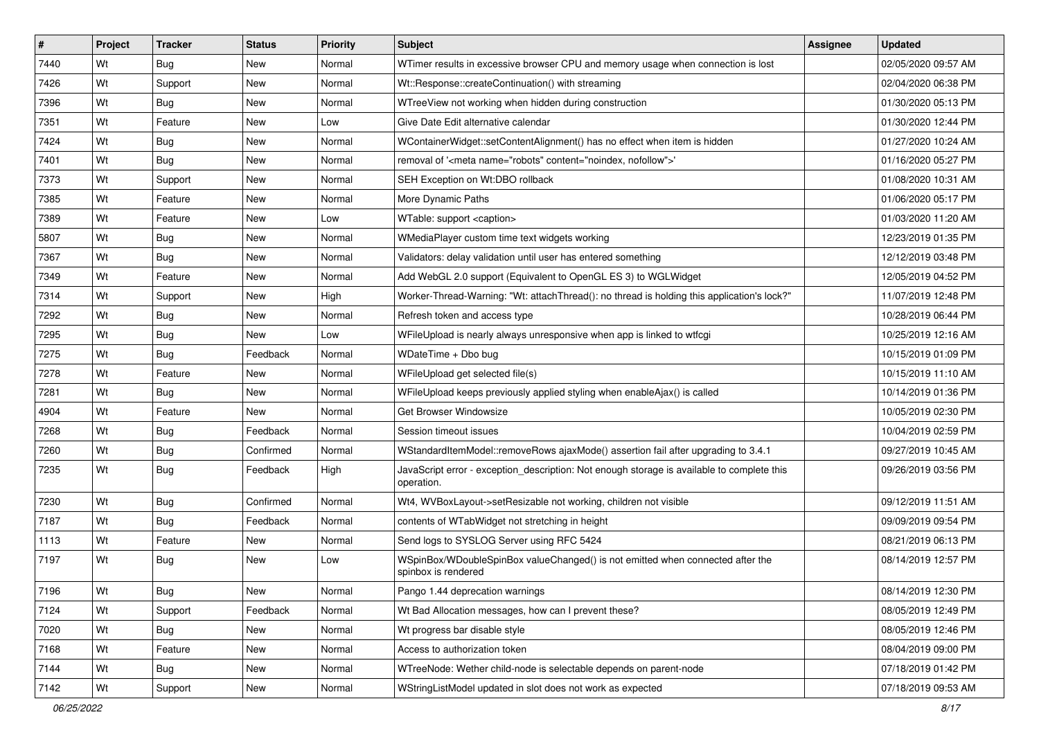| #    | Project | <b>Tracker</b> | <b>Status</b> | <b>Priority</b> | <b>Subject</b>                                                                                           | Assignee | <b>Updated</b>      |
|------|---------|----------------|---------------|-----------------|----------------------------------------------------------------------------------------------------------|----------|---------------------|
| 7440 | Wt      | Bug            | New           | Normal          | WTimer results in excessive browser CPU and memory usage when connection is lost                         |          | 02/05/2020 09:57 AM |
| 7426 | Wt      | Support        | New           | Normal          | Wt::Response::createContinuation() with streaming                                                        |          | 02/04/2020 06:38 PM |
| 7396 | Wt      | Bug            | <b>New</b>    | Normal          | WTreeView not working when hidden during construction                                                    |          | 01/30/2020 05:13 PM |
| 7351 | Wt      | Feature        | New           | Low             | Give Date Edit alternative calendar                                                                      |          | 01/30/2020 12:44 PM |
| 7424 | Wt      | Bug            | <b>New</b>    | Normal          | WContainerWidget::setContentAlignment() has no effect when item is hidden                                |          | 01/27/2020 10:24 AM |
| 7401 | Wt      | Bug            | New           | Normal          | removal of ' <meta content="noindex, nofollow" name="robots"/> '                                         |          | 01/16/2020 05:27 PM |
| 7373 | Wt      | Support        | <b>New</b>    | Normal          | SEH Exception on Wt:DBO rollback                                                                         |          | 01/08/2020 10:31 AM |
| 7385 | Wt      | Feature        | New           | Normal          | More Dynamic Paths                                                                                       |          | 01/06/2020 05:17 PM |
| 7389 | Wt      | Feature        | New           | Low             | WTable: support <caption></caption>                                                                      |          | 01/03/2020 11:20 AM |
| 5807 | Wt      | Bug            | New           | Normal          | WMediaPlayer custom time text widgets working                                                            |          | 12/23/2019 01:35 PM |
| 7367 | Wt      | Bug            | New           | Normal          | Validators: delay validation until user has entered something                                            |          | 12/12/2019 03:48 PM |
| 7349 | Wt      | Feature        | New           | Normal          | Add WebGL 2.0 support (Equivalent to OpenGL ES 3) to WGLWidget                                           |          | 12/05/2019 04:52 PM |
| 7314 | Wt      | Support        | New           | High            | Worker-Thread-Warning: "Wt: attachThread(): no thread is holding this application's lock?"               |          | 11/07/2019 12:48 PM |
| 7292 | Wt      | Bug            | New           | Normal          | Refresh token and access type                                                                            |          | 10/28/2019 06:44 PM |
| 7295 | Wt      | Bug            | New           | Low             | WFileUpload is nearly always unresponsive when app is linked to wtfcgi                                   |          | 10/25/2019 12:16 AM |
| 7275 | Wt      | Bug            | Feedback      | Normal          | WDateTime + Dbo bug                                                                                      |          | 10/15/2019 01:09 PM |
| 7278 | Wt      | Feature        | New           | Normal          | WFileUpload get selected file(s)                                                                         |          | 10/15/2019 11:10 AM |
| 7281 | Wt      | <b>Bug</b>     | New           | Normal          | WFileUpload keeps previously applied styling when enableAjax() is called                                 |          | 10/14/2019 01:36 PM |
| 4904 | Wt      | Feature        | New           | Normal          | Get Browser Windowsize                                                                                   |          | 10/05/2019 02:30 PM |
| 7268 | Wt      | Bug            | Feedback      | Normal          | Session timeout issues                                                                                   |          | 10/04/2019 02:59 PM |
| 7260 | Wt      | Bug            | Confirmed     | Normal          | WStandardItemModel::removeRows ajaxMode() assertion fail after upgrading to 3.4.1                        |          | 09/27/2019 10:45 AM |
| 7235 | Wt      | Bug            | Feedback      | High            | JavaScript error - exception_description: Not enough storage is available to complete this<br>operation. |          | 09/26/2019 03:56 PM |
| 7230 | Wt      | Bug            | Confirmed     | Normal          | Wt4, WVBoxLayout->setResizable not working, children not visible                                         |          | 09/12/2019 11:51 AM |
| 7187 | Wt      | Bug            | Feedback      | Normal          | contents of WTabWidget not stretching in height                                                          |          | 09/09/2019 09:54 PM |
| 1113 | Wt      | Feature        | New           | Normal          | Send logs to SYSLOG Server using RFC 5424                                                                |          | 08/21/2019 06:13 PM |
| 7197 | Wt      | Bug            | New           | Low             | WSpinBox/WDoubleSpinBox valueChanged() is not emitted when connected after the<br>spinbox is rendered    |          | 08/14/2019 12:57 PM |
| 7196 | Wt      | Bug            | New           | Normal          | Pango 1.44 deprecation warnings                                                                          |          | 08/14/2019 12:30 PM |
| 7124 | Wt      | Support        | Feedback      | Normal          | Wt Bad Allocation messages, how can I prevent these?                                                     |          | 08/05/2019 12:49 PM |
| 7020 | Wt      | <b>Bug</b>     | New           | Normal          | Wt progress bar disable style                                                                            |          | 08/05/2019 12:46 PM |
| 7168 | Wt      | Feature        | New           | Normal          | Access to authorization token                                                                            |          | 08/04/2019 09:00 PM |
| 7144 | Wt      | <b>Bug</b>     | New           | Normal          | WTreeNode: Wether child-node is selectable depends on parent-node                                        |          | 07/18/2019 01:42 PM |
| 7142 | Wt      | Support        | New           | Normal          | WStringListModel updated in slot does not work as expected                                               |          | 07/18/2019 09:53 AM |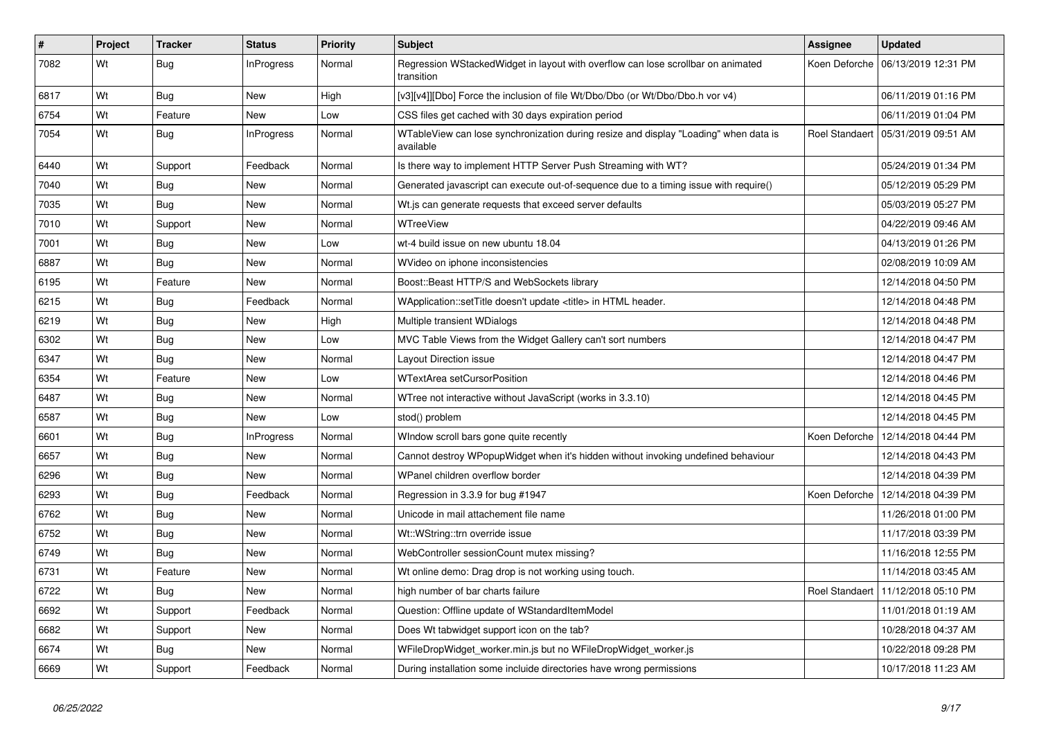| #    | Project | <b>Tracker</b> | <b>Status</b>     | <b>Priority</b> | <b>Subject</b>                                                                                    | <b>Assignee</b> | <b>Updated</b>                       |
|------|---------|----------------|-------------------|-----------------|---------------------------------------------------------------------------------------------------|-----------------|--------------------------------------|
| 7082 | Wt      | Bug            | InProgress        | Normal          | Regression WStackedWidget in layout with overflow can lose scrollbar on animated<br>transition    |                 | Koen Deforche   06/13/2019 12:31 PM  |
| 6817 | Wt      | Bug            | New               | High            | [v3][v4]][Dbo] Force the inclusion of file Wt/Dbo/Dbo (or Wt/Dbo/Dbo.h vor v4)                    |                 | 06/11/2019 01:16 PM                  |
| 6754 | Wt      | Feature        | New               | Low             | CSS files get cached with 30 days expiration period                                               |                 | 06/11/2019 01:04 PM                  |
| 7054 | Wt      | <b>Bug</b>     | <b>InProgress</b> | Normal          | WTableView can lose synchronization during resize and display "Loading" when data is<br>available |                 | Roel Standaert   05/31/2019 09:51 AM |
| 6440 | Wt      | Support        | Feedback          | Normal          | Is there way to implement HTTP Server Push Streaming with WT?                                     |                 | 05/24/2019 01:34 PM                  |
| 7040 | Wt      | <b>Bug</b>     | <b>New</b>        | Normal          | Generated javascript can execute out-of-sequence due to a timing issue with require()             |                 | 05/12/2019 05:29 PM                  |
| 7035 | Wt      | Bug            | <b>New</b>        | Normal          | Wt.js can generate requests that exceed server defaults                                           |                 | 05/03/2019 05:27 PM                  |
| 7010 | Wt      | Support        | New               | Normal          | WTreeView                                                                                         |                 | 04/22/2019 09:46 AM                  |
| 7001 | Wt      | <b>Bug</b>     | New               | Low             | wt-4 build issue on new ubuntu 18.04                                                              |                 | 04/13/2019 01:26 PM                  |
| 6887 | Wt      | Bug            | New               | Normal          | WVideo on iphone inconsistencies                                                                  |                 | 02/08/2019 10:09 AM                  |
| 6195 | Wt      | Feature        | New               | Normal          | Boost::Beast HTTP/S and WebSockets library                                                        |                 | 12/14/2018 04:50 PM                  |
| 6215 | Wt      | Bug            | Feedback          | Normal          | WApplication::setTitle doesn't update <title> in HTML header.</title>                             |                 | 12/14/2018 04:48 PM                  |
| 6219 | Wt      | Bug            | New               | High            | Multiple transient WDialogs                                                                       |                 | 12/14/2018 04:48 PM                  |
| 6302 | Wt      | Bug            | New               | Low             | MVC Table Views from the Widget Gallery can't sort numbers                                        |                 | 12/14/2018 04:47 PM                  |
| 6347 | Wt      | <b>Bug</b>     | New               | Normal          | Layout Direction issue                                                                            |                 | 12/14/2018 04:47 PM                  |
| 6354 | Wt      | Feature        | New               | Low             | <b>WTextArea setCursorPosition</b>                                                                |                 | 12/14/2018 04:46 PM                  |
| 6487 | Wt      | <b>Bug</b>     | New               | Normal          | WTree not interactive without JavaScript (works in 3.3.10)                                        |                 | 12/14/2018 04:45 PM                  |
| 6587 | Wt      | <b>Bug</b>     | <b>New</b>        | Low             | stod() problem                                                                                    |                 | 12/14/2018 04:45 PM                  |
| 6601 | Wt      | <b>Bug</b>     | <b>InProgress</b> | Normal          | Window scroll bars gone quite recently                                                            | Koen Deforche   | 12/14/2018 04:44 PM                  |
| 6657 | Wt      | Bug            | New               | Normal          | Cannot destroy WPopupWidget when it's hidden without invoking undefined behaviour                 |                 | 12/14/2018 04:43 PM                  |
| 6296 | Wt      | Bug            | New               | Normal          | WPanel children overflow border                                                                   |                 | 12/14/2018 04:39 PM                  |
| 6293 | Wt      | Bug            | Feedback          | Normal          | Regression in 3.3.9 for bug #1947                                                                 |                 | Koen Deforche   12/14/2018 04:39 PM  |
| 6762 | Wt      | Bug            | New               | Normal          | Unicode in mail attachement file name                                                             |                 | 11/26/2018 01:00 PM                  |
| 6752 | Wt      | Bug            | New               | Normal          | Wt::WString::trn override issue                                                                   |                 | 11/17/2018 03:39 PM                  |
| 6749 | Wt      | Bug            | New               | Normal          | WebController sessionCount mutex missing?                                                         |                 | 11/16/2018 12:55 PM                  |
| 6731 | Wt      | Feature        | New               | Normal          | Wt online demo: Drag drop is not working using touch.                                             |                 | 11/14/2018 03:45 AM                  |
| 6722 | Wt      | <b>Bug</b>     | New               | Normal          | high number of bar charts failure                                                                 |                 | Roel Standaert   11/12/2018 05:10 PM |
| 6692 | Wt      | Support        | Feedback          | Normal          | Question: Offline update of WStandardItemModel                                                    |                 | 11/01/2018 01:19 AM                  |
| 6682 | Wt      | Support        | New               | Normal          | Does Wt tabwidget support icon on the tab?                                                        |                 | 10/28/2018 04:37 AM                  |
| 6674 | Wt      | <b>Bug</b>     | New               | Normal          | WFileDropWidget_worker.min.js but no WFileDropWidget_worker.js                                    |                 | 10/22/2018 09:28 PM                  |
| 6669 | Wt      | Support        | Feedback          | Normal          | During installation some incluide directories have wrong permissions                              |                 | 10/17/2018 11:23 AM                  |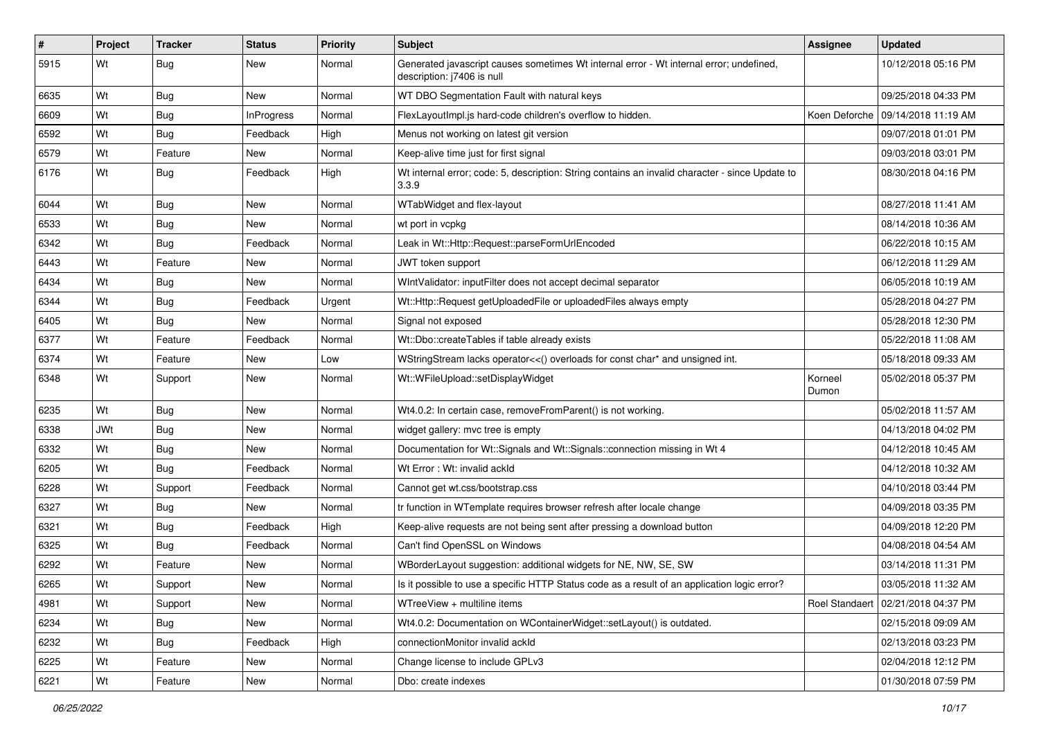| $\sharp$ | Project    | <b>Tracker</b> | <b>Status</b>     | <b>Priority</b> | Subject                                                                                                               | <b>Assignee</b>  | <b>Updated</b>                       |
|----------|------------|----------------|-------------------|-----------------|-----------------------------------------------------------------------------------------------------------------------|------------------|--------------------------------------|
| 5915     | Wt         | <b>Bug</b>     | New               | Normal          | Generated javascript causes sometimes Wt internal error - Wt internal error; undefined,<br>description: j7406 is null |                  | 10/12/2018 05:16 PM                  |
| 6635     | Wt         | <b>Bug</b>     | New               | Normal          | WT DBO Segmentation Fault with natural keys                                                                           |                  | 09/25/2018 04:33 PM                  |
| 6609     | Wt         | <b>Bug</b>     | <b>InProgress</b> | Normal          | FlexLayoutImpl.js hard-code children's overflow to hidden.                                                            |                  | Koen Deforche   09/14/2018 11:19 AM  |
| 6592     | Wt         | Bug            | Feedback          | High            | Menus not working on latest git version                                                                               |                  | 09/07/2018 01:01 PM                  |
| 6579     | Wt         | Feature        | New               | Normal          | Keep-alive time just for first signal                                                                                 |                  | 09/03/2018 03:01 PM                  |
| 6176     | Wt         | Bug            | Feedback          | High            | Wt internal error; code: 5, description: String contains an invalid character - since Update to<br>3.3.9              |                  | 08/30/2018 04:16 PM                  |
| 6044     | Wt         | <b>Bug</b>     | New               | Normal          | WTabWidget and flex-layout                                                                                            |                  | 08/27/2018 11:41 AM                  |
| 6533     | Wt         | <b>Bug</b>     | <b>New</b>        | Normal          | wt port in vcpkg                                                                                                      |                  | 08/14/2018 10:36 AM                  |
| 6342     | Wt         | Bug            | Feedback          | Normal          | Leak in Wt::Http::Request::parseFormUrlEncoded                                                                        |                  | 06/22/2018 10:15 AM                  |
| 6443     | Wt         | Feature        | New               | Normal          | JWT token support                                                                                                     |                  | 06/12/2018 11:29 AM                  |
| 6434     | Wt         | Bug            | <b>New</b>        | Normal          | WIntValidator: inputFilter does not accept decimal separator                                                          |                  | 06/05/2018 10:19 AM                  |
| 6344     | Wt         | <b>Bug</b>     | Feedback          | Urgent          | Wt::Http::Request getUploadedFile or uploadedFiles always empty                                                       |                  | 05/28/2018 04:27 PM                  |
| 6405     | Wt         | <b>Bug</b>     | <b>New</b>        | Normal          | Signal not exposed                                                                                                    |                  | 05/28/2018 12:30 PM                  |
| 6377     | Wt         | Feature        | Feedback          | Normal          | Wt::Dbo::createTables if table already exists                                                                         |                  | 05/22/2018 11:08 AM                  |
| 6374     | Wt         | Feature        | <b>New</b>        | Low             | WStringStream lacks operator<<() overloads for const char* and unsigned int.                                          |                  | 05/18/2018 09:33 AM                  |
| 6348     | Wt         | Support        | New               | Normal          | Wt::WFileUpload::setDisplayWidget                                                                                     | Korneel<br>Dumon | 05/02/2018 05:37 PM                  |
| 6235     | Wt         | <b>Bug</b>     | New               | Normal          | Wt4.0.2: In certain case, removeFromParent() is not working.                                                          |                  | 05/02/2018 11:57 AM                  |
| 6338     | <b>JWt</b> | Bug            | <b>New</b>        | Normal          | widget gallery: mvc tree is empty                                                                                     |                  | 04/13/2018 04:02 PM                  |
| 6332     | Wt         | Bug            | New               | Normal          | Documentation for Wt::Signals and Wt::Signals::connection missing in Wt 4                                             |                  | 04/12/2018 10:45 AM                  |
| 6205     | Wt         | <b>Bug</b>     | Feedback          | Normal          | Wt Error: Wt: invalid ackId                                                                                           |                  | 04/12/2018 10:32 AM                  |
| 6228     | Wt         | Support        | Feedback          | Normal          | Cannot get wt.css/bootstrap.css                                                                                       |                  | 04/10/2018 03:44 PM                  |
| 6327     | Wt         | <b>Bug</b>     | <b>New</b>        | Normal          | tr function in WTemplate requires browser refresh after locale change                                                 |                  | 04/09/2018 03:35 PM                  |
| 6321     | Wt         | Bug            | Feedback          | High            | Keep-alive requests are not being sent after pressing a download button                                               |                  | 04/09/2018 12:20 PM                  |
| 6325     | Wt         | <b>Bug</b>     | Feedback          | Normal          | Can't find OpenSSL on Windows                                                                                         |                  | 04/08/2018 04:54 AM                  |
| 6292     | Wt         | Feature        | New               | Normal          | WBorderLayout suggestion: additional widgets for NE, NW, SE, SW                                                       |                  | 03/14/2018 11:31 PM                  |
| 6265     | Wt         | Support        | New               | Normal          | Is it possible to use a specific HTTP Status code as a result of an application logic error?                          |                  | 03/05/2018 11:32 AM                  |
| 4981     | Wt         | Support        | New               | Normal          | WTreeView + multiline items                                                                                           |                  | Roel Standaert   02/21/2018 04:37 PM |
| 6234     | Wt         | <b>Bug</b>     | New               | Normal          | Wt4.0.2: Documentation on WContainerWidget::setLayout() is outdated.                                                  |                  | 02/15/2018 09:09 AM                  |
| 6232     | Wt         | <b>Bug</b>     | Feedback          | High            | connectionMonitor invalid ackId                                                                                       |                  | 02/13/2018 03:23 PM                  |
| 6225     | Wt         | Feature        | New               | Normal          | Change license to include GPLv3                                                                                       |                  | 02/04/2018 12:12 PM                  |
| 6221     | Wt         | Feature        | New               | Normal          | Dbo: create indexes                                                                                                   |                  | 01/30/2018 07:59 PM                  |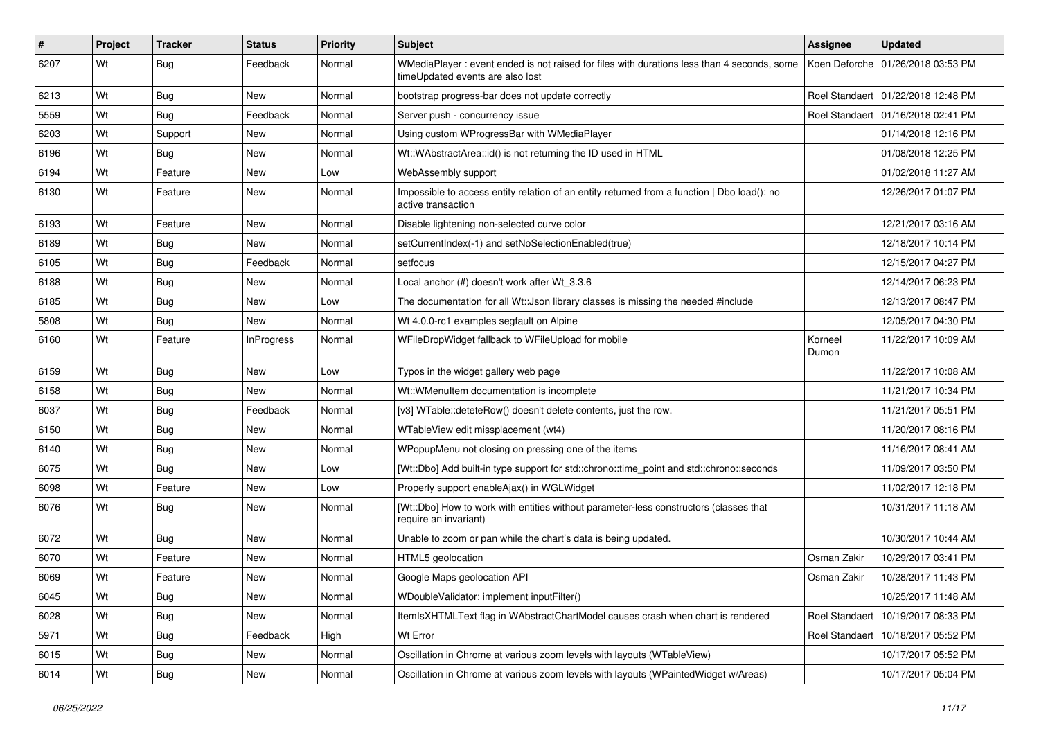| #    | Project | <b>Tracker</b> | <b>Status</b>     | <b>Priority</b> | Subject                                                                                                                        | Assignee         | <b>Updated</b>                       |
|------|---------|----------------|-------------------|-----------------|--------------------------------------------------------------------------------------------------------------------------------|------------------|--------------------------------------|
| 6207 | Wt      | Bug            | Feedback          | Normal          | WMediaPlayer: event ended is not raised for files with durations less than 4 seconds, some<br>timeUpdated events are also lost | Koen Deforche    | 01/26/2018 03:53 PM                  |
| 6213 | Wt      | Bug            | New               | Normal          | bootstrap progress-bar does not update correctly                                                                               |                  | Roel Standaert   01/22/2018 12:48 PM |
| 5559 | Wt      | Bug            | Feedback          | Normal          | Server push - concurrency issue                                                                                                |                  | Roel Standaert 101/16/2018 02:41 PM  |
| 6203 | Wt      | Support        | New               | Normal          | Using custom WProgressBar with WMediaPlayer                                                                                    |                  | 01/14/2018 12:16 PM                  |
| 6196 | Wt      | Bug            | New               | Normal          | Wt::WAbstractArea::id() is not returning the ID used in HTML                                                                   |                  | 01/08/2018 12:25 PM                  |
| 6194 | Wt      | Feature        | New               | Low             | WebAssembly support                                                                                                            |                  | 01/02/2018 11:27 AM                  |
| 6130 | Wt      | Feature        | New               | Normal          | Impossible to access entity relation of an entity returned from a function   Dbo load(): no<br>active transaction              |                  | 12/26/2017 01:07 PM                  |
| 6193 | Wt      | Feature        | New               | Normal          | Disable lightening non-selected curve color                                                                                    |                  | 12/21/2017 03:16 AM                  |
| 6189 | Wt      | Bug            | New               | Normal          | setCurrentIndex(-1) and setNoSelectionEnabled(true)                                                                            |                  | 12/18/2017 10:14 PM                  |
| 6105 | Wt      | Bug            | Feedback          | Normal          | setfocus                                                                                                                       |                  | 12/15/2017 04:27 PM                  |
| 6188 | Wt      | Bug            | New               | Normal          | Local anchor (#) doesn't work after Wt_3.3.6                                                                                   |                  | 12/14/2017 06:23 PM                  |
| 6185 | Wt      | Bug            | New               | Low             | The documentation for all Wt:: Json library classes is missing the needed #include                                             |                  | 12/13/2017 08:47 PM                  |
| 5808 | Wt      | Bug            | New               | Normal          | Wt 4.0.0-rc1 examples segfault on Alpine                                                                                       |                  | 12/05/2017 04:30 PM                  |
| 6160 | Wt      | Feature        | <b>InProgress</b> | Normal          | WFileDropWidget fallback to WFileUpload for mobile                                                                             | Korneel<br>Dumon | 11/22/2017 10:09 AM                  |
| 6159 | Wt      | Bug            | <b>New</b>        | Low             | Typos in the widget gallery web page                                                                                           |                  | 11/22/2017 10:08 AM                  |
| 6158 | Wt      | Bug            | New               | Normal          | Wt::WMenuItem documentation is incomplete                                                                                      |                  | 11/21/2017 10:34 PM                  |
| 6037 | Wt      | Bug            | Feedback          | Normal          | [v3] WTable::deteteRow() doesn't delete contents, just the row.                                                                |                  | 11/21/2017 05:51 PM                  |
| 6150 | Wt      | <b>Bug</b>     | New               | Normal          | WTableView edit missplacement (wt4)                                                                                            |                  | 11/20/2017 08:16 PM                  |
| 6140 | Wt      | Bug            | New               | Normal          | WPopupMenu not closing on pressing one of the items                                                                            |                  | 11/16/2017 08:41 AM                  |
| 6075 | Wt      | Bug            | New               | Low             | [Wt::Dbo] Add built-in type support for std::chrono::time_point and std::chrono::seconds                                       |                  | 11/09/2017 03:50 PM                  |
| 6098 | Wt      | Feature        | New               | Low             | Properly support enableAjax() in WGLWidget                                                                                     |                  | 11/02/2017 12:18 PM                  |
| 6076 | Wt      | <b>Bug</b>     | New               | Normal          | [Wt::Dbo] How to work with entities without parameter-less constructors (classes that<br>require an invariant)                 |                  | 10/31/2017 11:18 AM                  |
| 6072 | Wt      | Bug            | New               | Normal          | Unable to zoom or pan while the chart's data is being updated.                                                                 |                  | 10/30/2017 10:44 AM                  |
| 6070 | Wt      | Feature        | New               | Normal          | HTML5 geolocation                                                                                                              | Osman Zakir      | 10/29/2017 03:41 PM                  |
| 6069 | Wt      | Feature        | New               | Normal          | Google Maps geolocation API                                                                                                    | Osman Zakir      | 10/28/2017 11:43 PM                  |
| 6045 | Wt      | <b>Bug</b>     | New               | Normal          | WDoubleValidator: implement inputFilter()                                                                                      |                  | 10/25/2017 11:48 AM                  |
| 6028 | Wt      | <b>Bug</b>     | New               | Normal          | ItemIsXHTMLText flag in WAbstractChartModel causes crash when chart is rendered                                                | Roel Standaert   | 10/19/2017 08:33 PM                  |
| 5971 | Wt      | <b>Bug</b>     | Feedback          | High            | Wt Error                                                                                                                       | Roel Standaert   | 10/18/2017 05:52 PM                  |
| 6015 | Wt      | <b>Bug</b>     | New               | Normal          | Oscillation in Chrome at various zoom levels with layouts (WTableView)                                                         |                  | 10/17/2017 05:52 PM                  |
| 6014 | Wt      | <b>Bug</b>     | New               | Normal          | Oscillation in Chrome at various zoom levels with layouts (WPaintedWidget w/Areas)                                             |                  | 10/17/2017 05:04 PM                  |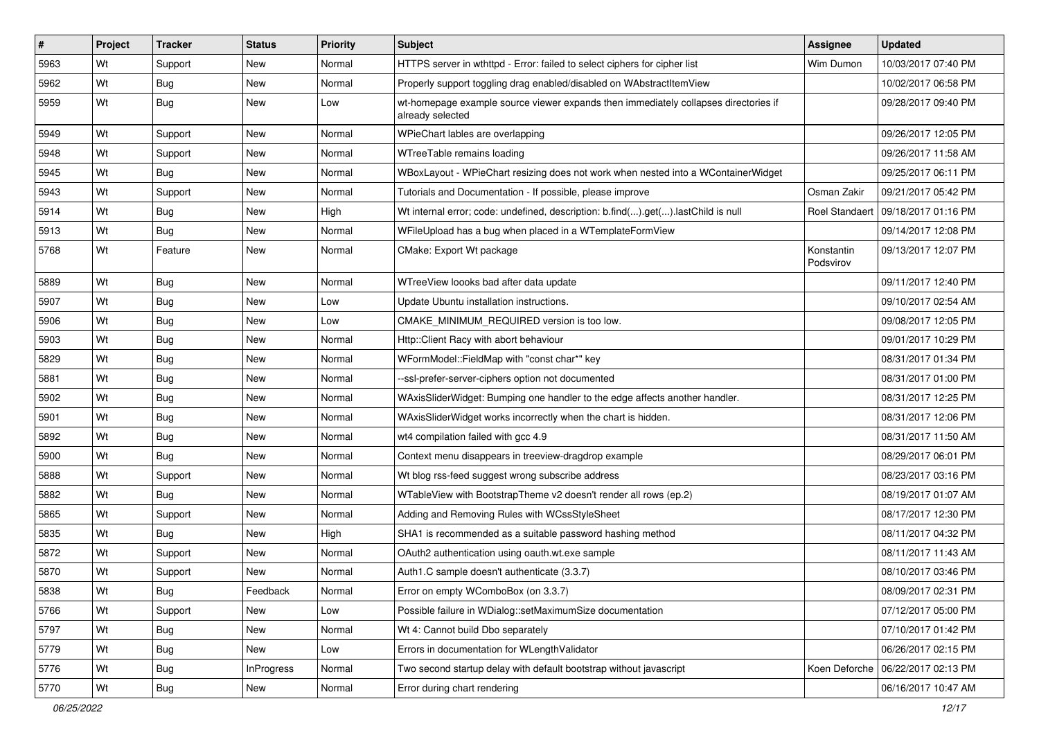| $\vert$ # | Project | <b>Tracker</b> | <b>Status</b>     | Priority | Subject                                                                                                 | <b>Assignee</b>         | <b>Updated</b>                       |
|-----------|---------|----------------|-------------------|----------|---------------------------------------------------------------------------------------------------------|-------------------------|--------------------------------------|
| 5963      | Wt      | Support        | New               | Normal   | HTTPS server in wthttpd - Error: failed to select ciphers for cipher list                               | Wim Dumon               | 10/03/2017 07:40 PM                  |
| 5962      | Wt      | Bug            | New               | Normal   | Properly support toggling drag enabled/disabled on WAbstractItemView                                    |                         | 10/02/2017 06:58 PM                  |
| 5959      | Wt      | <b>Bug</b>     | New               | Low      | wt-homepage example source viewer expands then immediately collapses directories if<br>already selected |                         | 09/28/2017 09:40 PM                  |
| 5949      | Wt      | Support        | <b>New</b>        | Normal   | WPieChart lables are overlapping                                                                        |                         | 09/26/2017 12:05 PM                  |
| 5948      | Wt      | Support        | New               | Normal   | WTreeTable remains loading                                                                              |                         | 09/26/2017 11:58 AM                  |
| 5945      | Wt      | Bug            | New               | Normal   | WBoxLayout - WPieChart resizing does not work when nested into a WContainerWidget                       |                         | 09/25/2017 06:11 PM                  |
| 5943      | Wt      | Support        | <b>New</b>        | Normal   | Tutorials and Documentation - If possible, please improve                                               | Osman Zakir             | 09/21/2017 05:42 PM                  |
| 5914      | Wt      | Bug            | New               | High     | Wt internal error; code: undefined, description: b.find().get().lastChild is null                       |                         | Roel Standaert   09/18/2017 01:16 PM |
| 5913      | Wt      | <b>Bug</b>     | New               | Normal   | WFileUpload has a bug when placed in a WTemplateFormView                                                |                         | 09/14/2017 12:08 PM                  |
| 5768      | Wt      | Feature        | New               | Normal   | CMake: Export Wt package                                                                                | Konstantin<br>Podsvirov | 09/13/2017 12:07 PM                  |
| 5889      | Wt      | Bug            | <b>New</b>        | Normal   | WTreeView loooks bad after data update                                                                  |                         | 09/11/2017 12:40 PM                  |
| 5907      | Wt      | <b>Bug</b>     | New               | Low      | Update Ubuntu installation instructions.                                                                |                         | 09/10/2017 02:54 AM                  |
| 5906      | Wt      | Bug            | New               | Low      | CMAKE MINIMUM REQUIRED version is too low.                                                              |                         | 09/08/2017 12:05 PM                  |
| 5903      | Wt      | <b>Bug</b>     | New               | Normal   | Http::Client Racy with abort behaviour                                                                  |                         | 09/01/2017 10:29 PM                  |
| 5829      | Wt      | Bug            | New               | Normal   | WFormModel::FieldMap with "const char*" key                                                             |                         | 08/31/2017 01:34 PM                  |
| 5881      | Wt      | Bug            | New               | Normal   | --ssl-prefer-server-ciphers option not documented                                                       |                         | 08/31/2017 01:00 PM                  |
| 5902      | Wt      | Bug            | New               | Normal   | WAxisSliderWidget: Bumping one handler to the edge affects another handler.                             |                         | 08/31/2017 12:25 PM                  |
| 5901      | Wt      | Bug            | New               | Normal   | WAxisSliderWidget works incorrectly when the chart is hidden.                                           |                         | 08/31/2017 12:06 PM                  |
| 5892      | Wt      | <b>Bug</b>     | <b>New</b>        | Normal   | wt4 compilation failed with gcc 4.9                                                                     |                         | 08/31/2017 11:50 AM                  |
| 5900      | Wt      | Bug            | New               | Normal   | Context menu disappears in treeview-dragdrop example                                                    |                         | 08/29/2017 06:01 PM                  |
| 5888      | Wt      | Support        | New               | Normal   | Wt blog rss-feed suggest wrong subscribe address                                                        |                         | 08/23/2017 03:16 PM                  |
| 5882      | Wt      | Bug            | New               | Normal   | WTableView with BootstrapTheme v2 doesn't render all rows (ep.2)                                        |                         | 08/19/2017 01:07 AM                  |
| 5865      | Wt      | Support        | New               | Normal   | Adding and Removing Rules with WCssStyleSheet                                                           |                         | 08/17/2017 12:30 PM                  |
| 5835      | Wt      | Bug            | <b>New</b>        | High     | SHA1 is recommended as a suitable password hashing method                                               |                         | 08/11/2017 04:32 PM                  |
| 5872      | Wt      | Support        | New               | Normal   | OAuth2 authentication using oauth.wt.exe sample                                                         |                         | 08/11/2017 11:43 AM                  |
| 5870      | Wt      | Support        | New               | Normal   | Auth1.C sample doesn't authenticate (3.3.7)                                                             |                         | 08/10/2017 03:46 PM                  |
| 5838      | Wt      | Bug            | Feedback          | Normal   | Error on empty WComboBox (on 3.3.7)                                                                     |                         | 08/09/2017 02:31 PM                  |
| 5766      | Wt      | Support        | New               | Low      | Possible failure in WDialog::setMaximumSize documentation                                               |                         | 07/12/2017 05:00 PM                  |
| 5797      | Wt      | <b>Bug</b>     | <b>New</b>        | Normal   | Wt 4: Cannot build Dbo separately                                                                       |                         | 07/10/2017 01:42 PM                  |
| 5779      | Wt      | <b>Bug</b>     | New               | Low      | Errors in documentation for WLengthValidator                                                            |                         | 06/26/2017 02:15 PM                  |
| 5776      | Wt      | <b>Bug</b>     | <b>InProgress</b> | Normal   | Two second startup delay with default bootstrap without javascript                                      |                         | Koen Deforche   06/22/2017 02:13 PM  |
| 5770      | Wt      | <b>Bug</b>     | New               | Normal   | Error during chart rendering                                                                            |                         | 06/16/2017 10:47 AM                  |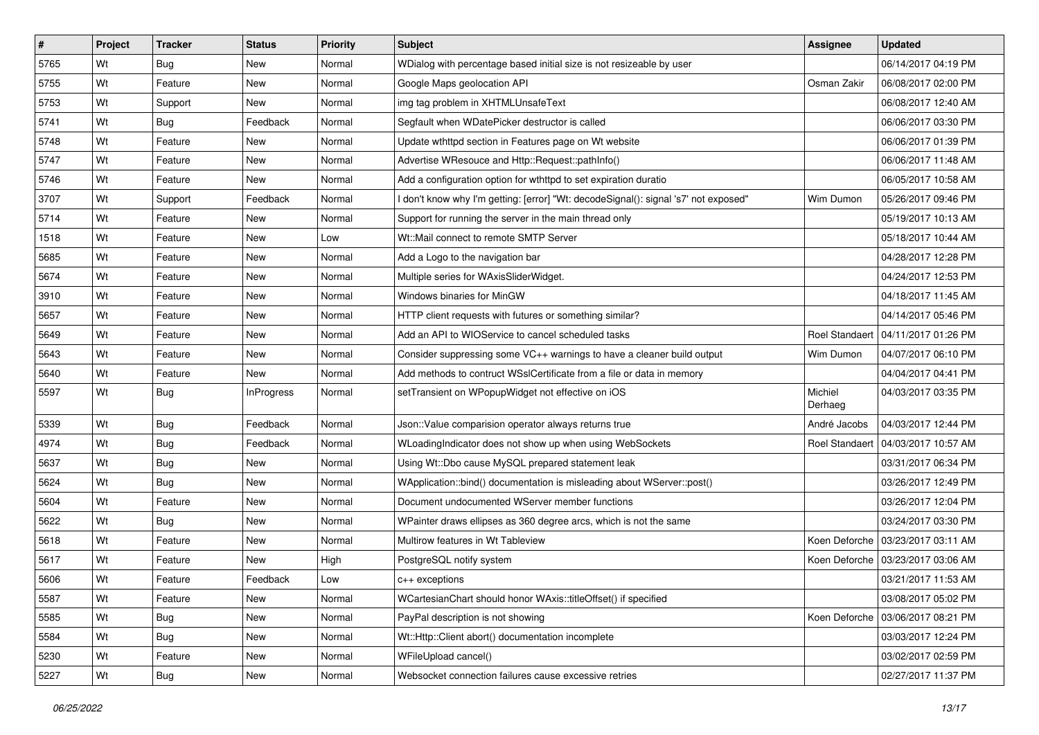| $\pmb{\#}$ | Project | <b>Tracker</b> | <b>Status</b>     | <b>Priority</b> | <b>Subject</b>                                                                      | Assignee              | <b>Updated</b>        |
|------------|---------|----------------|-------------------|-----------------|-------------------------------------------------------------------------------------|-----------------------|-----------------------|
| 5765       | Wt      | <b>Bug</b>     | New               | Normal          | WDialog with percentage based initial size is not resizeable by user                |                       | 06/14/2017 04:19 PM   |
| 5755       | Wt      | Feature        | New               | Normal          | Google Maps geolocation API                                                         | Osman Zakir           | 06/08/2017 02:00 PM   |
| 5753       | Wt      | Support        | New               | Normal          | img tag problem in XHTMLUnsafeText                                                  |                       | 06/08/2017 12:40 AM   |
| 5741       | Wt      | <b>Bug</b>     | Feedback          | Normal          | Segfault when WDatePicker destructor is called                                      |                       | 06/06/2017 03:30 PM   |
| 5748       | Wt      | Feature        | New               | Normal          | Update wthttpd section in Features page on Wt website                               |                       | 06/06/2017 01:39 PM   |
| 5747       | Wt      | Feature        | New               | Normal          | Advertise WResouce and Http::Request::pathInfo()                                    |                       | 06/06/2017 11:48 AM   |
| 5746       | Wt      | Feature        | New               | Normal          | Add a configuration option for wthttpd to set expiration duratio                    |                       | 06/05/2017 10:58 AM   |
| 3707       | Wt      | Support        | Feedback          | Normal          | I don't know why I'm getting: [error] "Wt: decodeSignal(): signal 's7' not exposed" | Wim Dumon             | 05/26/2017 09:46 PM   |
| 5714       | Wt      | Feature        | New               | Normal          | Support for running the server in the main thread only                              |                       | 05/19/2017 10:13 AM   |
| 1518       | Wt      | Feature        | New               | Low             | Wt::Mail connect to remote SMTP Server                                              |                       | 05/18/2017 10:44 AM   |
| 5685       | Wt      | Feature        | New               | Normal          | Add a Logo to the navigation bar                                                    |                       | 04/28/2017 12:28 PM   |
| 5674       | Wt      | Feature        | New               | Normal          | Multiple series for WAxisSliderWidget.                                              |                       | 04/24/2017 12:53 PM   |
| 3910       | Wt      | Feature        | New               | Normal          | Windows binaries for MinGW                                                          |                       | 04/18/2017 11:45 AM   |
| 5657       | Wt      | Feature        | New               | Normal          | HTTP client requests with futures or something similar?                             |                       | 04/14/2017 05:46 PM   |
| 5649       | Wt      | Feature        | New               | Normal          | Add an API to WIOService to cancel scheduled tasks                                  | <b>Roel Standaert</b> | l 04/11/2017 01:26 PM |
| 5643       | Wt      | Feature        | New               | Normal          | Consider suppressing some VC++ warnings to have a cleaner build output              | Wim Dumon             | 04/07/2017 06:10 PM   |
| 5640       | Wt      | Feature        | New               | Normal          | Add methods to contruct WSslCertificate from a file or data in memory               |                       | 04/04/2017 04:41 PM   |
| 5597       | Wt      | Bug            | <b>InProgress</b> | Normal          | setTransient on WPopupWidget not effective on iOS                                   | Michiel<br>Derhaeg    | 04/03/2017 03:35 PM   |
| 5339       | Wt      | Bug            | Feedback          | Normal          | Json:: Value comparision operator always returns true                               | André Jacobs          | 04/03/2017 12:44 PM   |
| 4974       | Wt      | <b>Bug</b>     | Feedback          | Normal          | WLoadingIndicator does not show up when using WebSockets                            | <b>Roel Standaert</b> | 04/03/2017 10:57 AM   |
| 5637       | Wt      | Bug            | New               | Normal          | Using Wt::Dbo cause MySQL prepared statement leak                                   |                       | 03/31/2017 06:34 PM   |
| 5624       | Wt      | Bug            | New               | Normal          | WApplication::bind() documentation is misleading about WServer::post()              |                       | 03/26/2017 12:49 PM   |
| 5604       | Wt      | Feature        | New               | Normal          | Document undocumented WServer member functions                                      |                       | 03/26/2017 12:04 PM   |
| 5622       | Wt      | <b>Bug</b>     | New               | Normal          | WPainter draws ellipses as 360 degree arcs, which is not the same                   |                       | 03/24/2017 03:30 PM   |
| 5618       | Wt      | Feature        | New               | Normal          | Multirow features in Wt Tableview                                                   | Koen Deforche         | 03/23/2017 03:11 AM   |
| 5617       | Wt      | Feature        | New               | High            | PostgreSQL notify system                                                            | Koen Deforche         | 03/23/2017 03:06 AM   |
| 5606       | Wt      | Feature        | Feedback          | Low             | $c++$ exceptions                                                                    |                       | 03/21/2017 11:53 AM   |
| 5587       | Wt      | Feature        | New               | Normal          | WCartesianChart should honor WAxis::titleOffset() if specified                      |                       | 03/08/2017 05:02 PM   |
| 5585       | Wt      | <b>Bug</b>     | New               | Normal          | PayPal description is not showing                                                   | Koen Deforche         | 03/06/2017 08:21 PM   |
| 5584       | Wt      | <b>Bug</b>     | New               | Normal          | Wt::Http::Client abort() documentation incomplete                                   |                       | 03/03/2017 12:24 PM   |
| 5230       | Wt      | Feature        | New               | Normal          | WFileUpload cancel()                                                                |                       | 03/02/2017 02:59 PM   |
| 5227       | Wt      | <b>Bug</b>     | New               | Normal          | Websocket connection failures cause excessive retries                               |                       | 02/27/2017 11:37 PM   |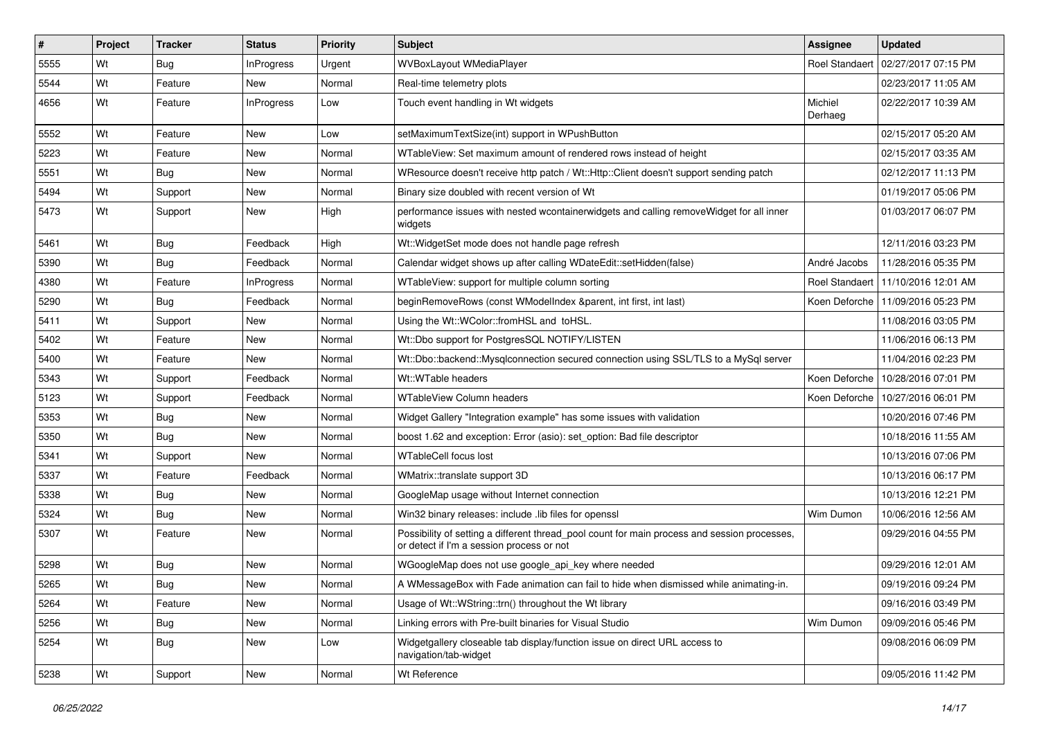| #    | <b>Project</b> | <b>Tracker</b> | <b>Status</b>     | Priority | <b>Subject</b>                                                                                                                            | Assignee              | <b>Updated</b>                      |
|------|----------------|----------------|-------------------|----------|-------------------------------------------------------------------------------------------------------------------------------------------|-----------------------|-------------------------------------|
| 5555 | Wt             | Bug            | <b>InProgress</b> | Urgent   | WVBoxLayout WMediaPlayer                                                                                                                  | <b>Roel Standaert</b> | 02/27/2017 07:15 PM                 |
| 5544 | Wt             | Feature        | <b>New</b>        | Normal   | Real-time telemetry plots                                                                                                                 |                       | 02/23/2017 11:05 AM                 |
| 4656 | Wt             | Feature        | <b>InProgress</b> | Low      | Touch event handling in Wt widgets                                                                                                        | Michiel<br>Derhaeg    | 02/22/2017 10:39 AM                 |
| 5552 | Wt             | Feature        | <b>New</b>        | Low      | setMaximumTextSize(int) support in WPushButton                                                                                            |                       | 02/15/2017 05:20 AM                 |
| 5223 | Wt             | Feature        | New               | Normal   | WTableView: Set maximum amount of rendered rows instead of height                                                                         |                       | 02/15/2017 03:35 AM                 |
| 5551 | Wt             | Bug            | <b>New</b>        | Normal   | WResource doesn't receive http patch / Wt::Http::Client doesn't support sending patch                                                     |                       | 02/12/2017 11:13 PM                 |
| 5494 | Wt             | Support        | New               | Normal   | Binary size doubled with recent version of Wt                                                                                             |                       | 01/19/2017 05:06 PM                 |
| 5473 | Wt             | Support        | New               | High     | performance issues with nested wcontainerwidgets and calling removeWidget for all inner<br>widgets                                        |                       | 01/03/2017 06:07 PM                 |
| 5461 | Wt             | Bug            | Feedback          | High     | Wt:: WidgetSet mode does not handle page refresh                                                                                          |                       | 12/11/2016 03:23 PM                 |
| 5390 | Wt             | Bug            | Feedback          | Normal   | Calendar widget shows up after calling WDateEdit::setHidden(false)                                                                        | André Jacobs          | 11/28/2016 05:35 PM                 |
| 4380 | Wt             | Feature        | <b>InProgress</b> | Normal   | WTableView: support for multiple column sorting                                                                                           | <b>Roel Standaert</b> | 11/10/2016 12:01 AM                 |
| 5290 | Wt             | Bug            | Feedback          | Normal   | beginRemoveRows (const WModelIndex &parent, int first, int last)                                                                          |                       | Koen Deforche   11/09/2016 05:23 PM |
| 5411 | Wt             | Support        | <b>New</b>        | Normal   | Using the Wt::WColor::fromHSL and toHSL.                                                                                                  |                       | 11/08/2016 03:05 PM                 |
| 5402 | Wt             | Feature        | New               | Normal   | Wt::Dbo support for PostgresSQL NOTIFY/LISTEN                                                                                             |                       | 11/06/2016 06:13 PM                 |
| 5400 | Wt             | Feature        | New               | Normal   | Wt::Dbo::backend::Mysqlconnection secured connection using SSL/TLS to a MySql server                                                      |                       | 11/04/2016 02:23 PM                 |
| 5343 | Wt             | Support        | Feedback          | Normal   | Wt::WTable headers                                                                                                                        | Koen Deforche         | 10/28/2016 07:01 PM                 |
| 5123 | Wt             | Support        | Feedback          | Normal   | <b>WTableView Column headers</b>                                                                                                          | Koen Deforche         | 10/27/2016 06:01 PM                 |
| 5353 | Wt             | Bug            | <b>New</b>        | Normal   | Widget Gallery "Integration example" has some issues with validation                                                                      |                       | 10/20/2016 07:46 PM                 |
| 5350 | Wt             | Bug            | New               | Normal   | boost 1.62 and exception: Error (asio): set option: Bad file descriptor                                                                   |                       | 10/18/2016 11:55 AM                 |
| 5341 | Wt             | Support        | New               | Normal   | <b>WTableCell focus lost</b>                                                                                                              |                       | 10/13/2016 07:06 PM                 |
| 5337 | Wt             | Feature        | Feedback          | Normal   | WMatrix::translate support 3D                                                                                                             |                       | 10/13/2016 06:17 PM                 |
| 5338 | Wt             | <b>Bug</b>     | New               | Normal   | GoogleMap usage without Internet connection                                                                                               |                       | 10/13/2016 12:21 PM                 |
| 5324 | Wt             | Bug            | New               | Normal   | Win32 binary releases: include .lib files for openssl                                                                                     | Wim Dumon             | 10/06/2016 12:56 AM                 |
| 5307 | Wt             | Feature        | New               | Normal   | Possibility of setting a different thread_pool count for main process and session processes,<br>or detect if I'm a session process or not |                       | 09/29/2016 04:55 PM                 |
| 5298 | Wt             | Bug            | <b>New</b>        | Normal   | WGoogleMap does not use google_api_key where needed                                                                                       |                       | 09/29/2016 12:01 AM                 |
| 5265 | Wt             | Bug            | New               | Normal   | A WMessageBox with Fade animation can fail to hide when dismissed while animating-in.                                                     |                       | 09/19/2016 09:24 PM                 |
| 5264 | Wt             | Feature        | New               | Normal   | Usage of Wt::WString::trn() throughout the Wt library                                                                                     |                       | 09/16/2016 03:49 PM                 |
| 5256 | Wt             | <b>Bug</b>     | New               | Normal   | Linking errors with Pre-built binaries for Visual Studio                                                                                  | Wim Dumon             | 09/09/2016 05:46 PM                 |
| 5254 | Wt             | <b>Bug</b>     | New               | Low      | Widgetgallery closeable tab display/function issue on direct URL access to<br>navigation/tab-widget                                       |                       | 09/08/2016 06:09 PM                 |
| 5238 | Wt             | Support        | New               | Normal   | Wt Reference                                                                                                                              |                       | 09/05/2016 11:42 PM                 |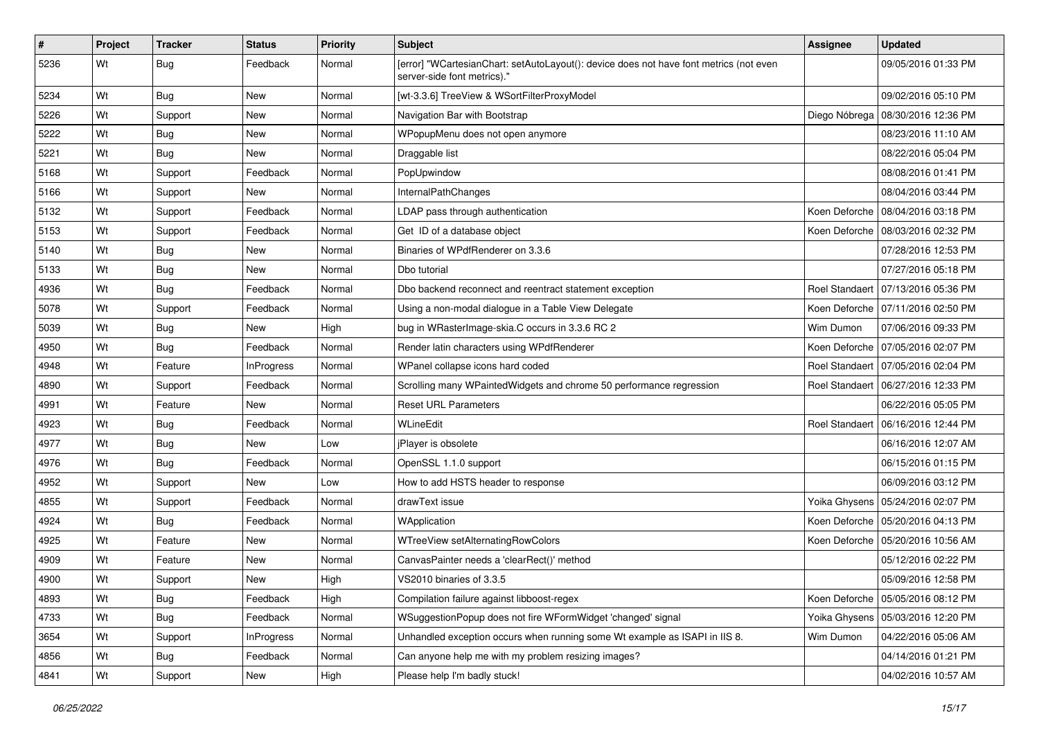| #    | Project | <b>Tracker</b> | <b>Status</b>     | <b>Priority</b> | Subject                                                                                                               | <b>Assignee</b>       | <b>Updated</b>                       |
|------|---------|----------------|-------------------|-----------------|-----------------------------------------------------------------------------------------------------------------------|-----------------------|--------------------------------------|
| 5236 | Wt      | <b>Bug</b>     | Feedback          | Normal          | [error] "WCartesianChart: setAutoLayout(): device does not have font metrics (not even<br>server-side font metrics)." |                       | 09/05/2016 01:33 PM                  |
| 5234 | Wt      | Bug            | New               | Normal          | [wt-3.3.6] TreeView & WSortFilterProxyModel                                                                           |                       | 09/02/2016 05:10 PM                  |
| 5226 | Wt      | Support        | <b>New</b>        | Normal          | Navigation Bar with Bootstrap                                                                                         |                       | Diego Nóbrega   08/30/2016 12:36 PM  |
| 5222 | Wt      | <b>Bug</b>     | New               | Normal          | WPopupMenu does not open anymore                                                                                      |                       | 08/23/2016 11:10 AM                  |
| 5221 | Wt      | Bug            | New               | Normal          | Draggable list                                                                                                        |                       | 08/22/2016 05:04 PM                  |
| 5168 | Wt      | Support        | Feedback          | Normal          | PopUpwindow                                                                                                           |                       | 08/08/2016 01:41 PM                  |
| 5166 | Wt      | Support        | New               | Normal          | InternalPathChanges                                                                                                   |                       | 08/04/2016 03:44 PM                  |
| 5132 | Wt      | Support        | Feedback          | Normal          | LDAP pass through authentication                                                                                      |                       | Koen Deforche   08/04/2016 03:18 PM  |
| 5153 | Wt      | Support        | Feedback          | Normal          | Get ID of a database object                                                                                           |                       | Koen Deforche   08/03/2016 02:32 PM  |
| 5140 | Wt      | Bug            | New               | Normal          | Binaries of WPdfRenderer on 3.3.6                                                                                     |                       | 07/28/2016 12:53 PM                  |
| 5133 | Wt      | <b>Bug</b>     | New               | Normal          | Dbo tutorial                                                                                                          |                       | 07/27/2016 05:18 PM                  |
| 4936 | Wt      | <b>Bug</b>     | Feedback          | Normal          | Dbo backend reconnect and reentract statement exception                                                               | <b>Roel Standaert</b> | 07/13/2016 05:36 PM                  |
| 5078 | Wt      | Support        | Feedback          | Normal          | Using a non-modal dialogue in a Table View Delegate                                                                   |                       | Koen Deforche   07/11/2016 02:50 PM  |
| 5039 | Wt      | <b>Bug</b>     | <b>New</b>        | High            | bug in WRasterImage-skia.C occurs in 3.3.6 RC 2                                                                       | Wim Dumon             | 07/06/2016 09:33 PM                  |
| 4950 | Wt      | Bug            | Feedback          | Normal          | Render latin characters using WPdfRenderer                                                                            |                       | Koen Deforche 07/05/2016 02:07 PM    |
| 4948 | Wt      | Feature        | <b>InProgress</b> | Normal          | WPanel collapse icons hard coded                                                                                      |                       | Roel Standaert   07/05/2016 02:04 PM |
| 4890 | Wt      | Support        | Feedback          | Normal          | Scrolling many WPaintedWidgets and chrome 50 performance regression                                                   |                       | Roel Standaert   06/27/2016 12:33 PM |
| 4991 | Wt      | Feature        | New               | Normal          | <b>Reset URL Parameters</b>                                                                                           |                       | 06/22/2016 05:05 PM                  |
| 4923 | Wt      | Bug            | Feedback          | Normal          | WLineEdit                                                                                                             |                       | Roel Standaert   06/16/2016 12:44 PM |
| 4977 | Wt      | <b>Bug</b>     | New               | Low             | jPlayer is obsolete                                                                                                   |                       | 06/16/2016 12:07 AM                  |
| 4976 | Wt      | <b>Bug</b>     | Feedback          | Normal          | OpenSSL 1.1.0 support                                                                                                 |                       | 06/15/2016 01:15 PM                  |
| 4952 | Wt      | Support        | New               | Low             | How to add HSTS header to response                                                                                    |                       | 06/09/2016 03:12 PM                  |
| 4855 | Wt      | Support        | Feedback          | Normal          | drawText issue                                                                                                        |                       | Yoika Ghysens   05/24/2016 02:07 PM  |
| 4924 | Wt      | Bug            | Feedback          | Normal          | WApplication                                                                                                          |                       | Koen Deforche   05/20/2016 04:13 PM  |
| 4925 | Wt      | Feature        | <b>New</b>        | Normal          | WTreeView setAlternatingRowColors                                                                                     |                       | Koen Deforche   05/20/2016 10:56 AM  |
| 4909 | Wt      | Feature        | New               | Normal          | CanvasPainter needs a 'clearRect()' method                                                                            |                       | 05/12/2016 02:22 PM                  |
| 4900 | Wt      | Support        | New               | High            | VS2010 binaries of 3.3.5                                                                                              |                       | 05/09/2016 12:58 PM                  |
| 4893 | Wt      | <b>Bug</b>     | Feedback          | High            | Compilation failure against libboost-regex                                                                            |                       | Koen Deforche   05/05/2016 08:12 PM  |
| 4733 | Wt      | <b>Bug</b>     | Feedback          | Normal          | WSuggestionPopup does not fire WFormWidget 'changed' signal                                                           |                       | Yoika Ghysens   05/03/2016 12:20 PM  |
| 3654 | Wt      | Support        | InProgress        | Normal          | Unhandled exception occurs when running some Wt example as ISAPI in IIS 8.                                            | Wim Dumon             | 04/22/2016 05:06 AM                  |
| 4856 | Wt      | <b>Bug</b>     | Feedback          | Normal          | Can anyone help me with my problem resizing images?                                                                   |                       | 04/14/2016 01:21 PM                  |
| 4841 | Wt      | Support        | New               | High            | Please help I'm badly stuck!                                                                                          |                       | 04/02/2016 10:57 AM                  |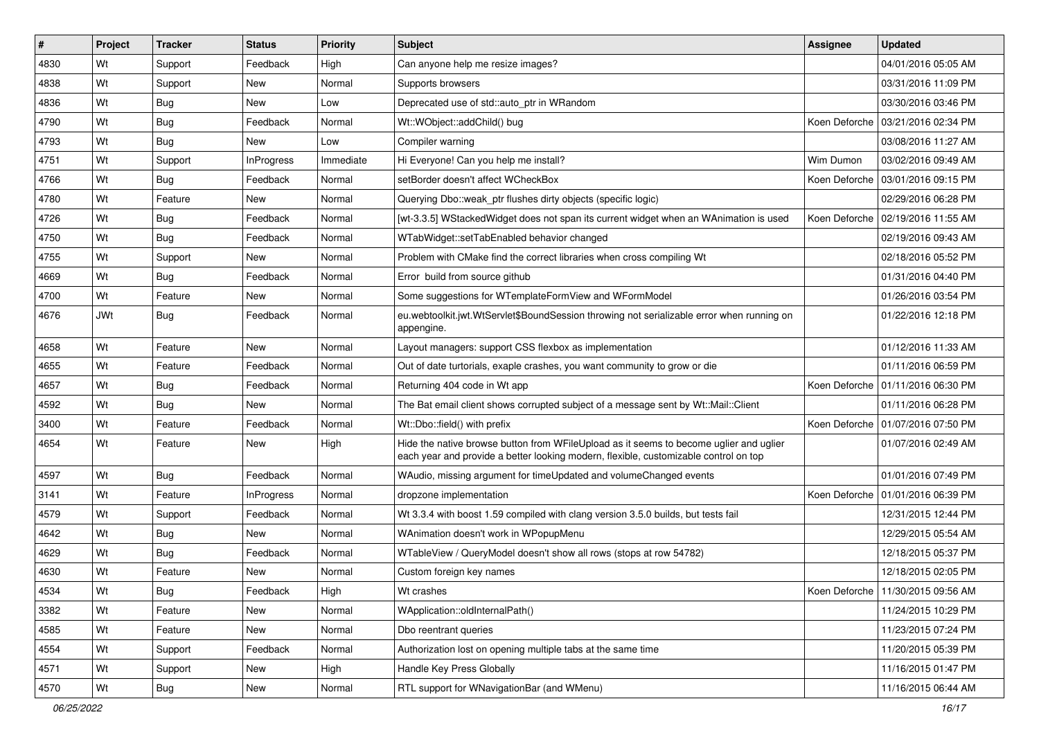| #    | Project    | <b>Tracker</b> | <b>Status</b>     | <b>Priority</b> | <b>Subject</b>                                                                                                                                                                 | <b>Assignee</b> | <b>Updated</b>                      |
|------|------------|----------------|-------------------|-----------------|--------------------------------------------------------------------------------------------------------------------------------------------------------------------------------|-----------------|-------------------------------------|
| 4830 | Wt         | Support        | Feedback          | High            | Can anyone help me resize images?                                                                                                                                              |                 | 04/01/2016 05:05 AM                 |
| 4838 | Wt         | Support        | New               | Normal          | Supports browsers                                                                                                                                                              |                 | 03/31/2016 11:09 PM                 |
| 4836 | Wt         | <b>Bug</b>     | New               | Low             | Deprecated use of std::auto ptr in WRandom                                                                                                                                     |                 | 03/30/2016 03:46 PM                 |
| 4790 | Wt         | <b>Bug</b>     | Feedback          | Normal          | Wt::WObject::addChild() bug                                                                                                                                                    | Koen Deforche   | 03/21/2016 02:34 PM                 |
| 4793 | Wt         | Bug            | New               | Low             | Compiler warning                                                                                                                                                               |                 | 03/08/2016 11:27 AM                 |
| 4751 | Wt         | Support        | <b>InProgress</b> | Immediate       | Hi Everyone! Can you help me install?                                                                                                                                          | Wim Dumon       | 03/02/2016 09:49 AM                 |
| 4766 | Wt         | Bug            | Feedback          | Normal          | setBorder doesn't affect WCheckBox                                                                                                                                             | Koen Deforche   | 03/01/2016 09:15 PM                 |
| 4780 | Wt         | Feature        | New               | Normal          | Querying Dbo:: weak ptr flushes dirty objects (specific logic)                                                                                                                 |                 | 02/29/2016 06:28 PM                 |
| 4726 | Wt         | <b>Bug</b>     | Feedback          | Normal          | [wt-3.3.5] WStackedWidget does not span its current widget when an WAnimation is used                                                                                          | Koen Deforche   | l 02/19/2016 11:55 AM               |
| 4750 | Wt         | Bug            | Feedback          | Normal          | WTabWidget::setTabEnabled behavior changed                                                                                                                                     |                 | 02/19/2016 09:43 AM                 |
| 4755 | Wt         | Support        | New               | Normal          | Problem with CMake find the correct libraries when cross compiling Wt                                                                                                          |                 | 02/18/2016 05:52 PM                 |
| 4669 | Wt         | <b>Bug</b>     | Feedback          | Normal          | Error build from source github                                                                                                                                                 |                 | 01/31/2016 04:40 PM                 |
| 4700 | Wt         | Feature        | New               | Normal          | Some suggestions for WTemplateFormView and WFormModel                                                                                                                          |                 | 01/26/2016 03:54 PM                 |
| 4676 | <b>JWt</b> | Bug            | Feedback          | Normal          | eu.webtoolkit.jwt.WtServlet\$BoundSession throwing not serializable error when running on<br>appengine.                                                                        |                 | 01/22/2016 12:18 PM                 |
| 4658 | Wt         | Feature        | New               | Normal          | Layout managers: support CSS flexbox as implementation                                                                                                                         |                 | 01/12/2016 11:33 AM                 |
| 4655 | Wt         | Feature        | Feedback          | Normal          | Out of date turtorials, exaple crashes, you want community to grow or die                                                                                                      |                 | 01/11/2016 06:59 PM                 |
| 4657 | Wt         | <b>Bug</b>     | Feedback          | Normal          | Returning 404 code in Wt app                                                                                                                                                   | Koen Deforche   | 01/11/2016 06:30 PM                 |
| 4592 | Wt         | <b>Bug</b>     | New               | Normal          | The Bat email client shows corrupted subject of a message sent by Wt::Mail::Client                                                                                             |                 | 01/11/2016 06:28 PM                 |
| 3400 | Wt         | Feature        | Feedback          | Normal          | Wt::Dbo::field() with prefix                                                                                                                                                   |                 | Koen Deforche   01/07/2016 07:50 PM |
| 4654 | Wt         | Feature        | New               | High            | Hide the native browse button from WFileUpload as it seems to become uglier and uglier<br>each year and provide a better looking modern, flexible, customizable control on top |                 | 01/07/2016 02:49 AM                 |
| 4597 | Wt         | <b>Bug</b>     | Feedback          | Normal          | WAudio, missing argument for timeUpdated and volumeChanged events                                                                                                              |                 | 01/01/2016 07:49 PM                 |
| 3141 | Wt         | Feature        | InProgress        | Normal          | dropzone implementation                                                                                                                                                        | Koen Deforche   | 01/01/2016 06:39 PM                 |
| 4579 | Wt         | Support        | Feedback          | Normal          | Wt 3.3.4 with boost 1.59 compiled with clang version 3.5.0 builds, but tests fail                                                                                              |                 | 12/31/2015 12:44 PM                 |
| 4642 | Wt         | Bug            | New               | Normal          | WAnimation doesn't work in WPopupMenu                                                                                                                                          |                 | 12/29/2015 05:54 AM                 |
| 4629 | Wt         | <b>Bug</b>     | Feedback          | Normal          | WTableView / QueryModel doesn't show all rows (stops at row 54782)                                                                                                             |                 | 12/18/2015 05:37 PM                 |
| 4630 | Wt         | Feature        | New               | Normal          | Custom foreign key names                                                                                                                                                       |                 | 12/18/2015 02:05 PM                 |
| 4534 | Wt         | <b>Bug</b>     | Feedback          | High            | Wt crashes                                                                                                                                                                     |                 | Koen Deforche   11/30/2015 09:56 AM |
| 3382 | Wt         | Feature        | New               | Normal          | WApplication::oldInternalPath()                                                                                                                                                |                 | 11/24/2015 10:29 PM                 |
| 4585 | Wt         | Feature        | New               | Normal          | Dbo reentrant queries                                                                                                                                                          |                 | 11/23/2015 07:24 PM                 |
| 4554 | Wt         | Support        | Feedback          | Normal          | Authorization lost on opening multiple tabs at the same time                                                                                                                   |                 | 11/20/2015 05:39 PM                 |
| 4571 | Wt         | Support        | New               | High            | Handle Key Press Globally                                                                                                                                                      |                 | 11/16/2015 01:47 PM                 |
| 4570 | Wt         | <b>Bug</b>     | New               | Normal          | RTL support for WNavigationBar (and WMenu)                                                                                                                                     |                 | 11/16/2015 06:44 AM                 |